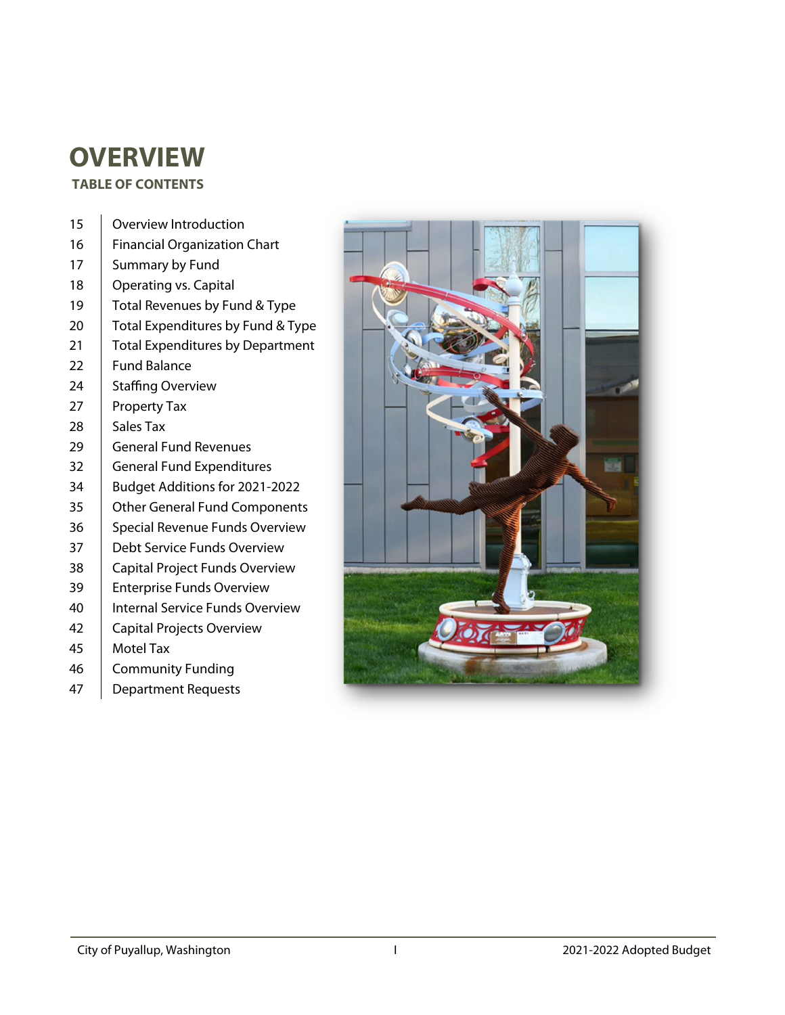# **OVERVIEW**

#### **TABLE OF CONTENTS**

| 15 | Overview Introduction                   |
|----|-----------------------------------------|
| 16 | <b>Financial Organization Chart</b>     |
| 17 | Summary by Fund                         |
| 18 | Operating vs. Capital                   |
| 19 | Total Revenues by Fund & Type           |
| 20 | Total Expenditures by Fund & Type       |
| 21 | <b>Total Expenditures by Department</b> |
| 22 | <b>Fund Balance</b>                     |
| 24 | Staffing Overview                       |
| 27 | <b>Property Tax</b>                     |
| 28 | Sales Tax                               |
| 29 | <b>General Fund Revenues</b>            |
| 32 | <b>General Fund Expenditures</b>        |
| 34 | Budget Additions for 2021-2022          |
| 35 | <b>Other General Fund Components</b>    |
| 36 | Special Revenue Funds Overview          |
| 37 | Debt Service Funds Overview             |
| 38 | Capital Project Funds Overview          |
| 39 | <b>Enterprise Funds Overview</b>        |
| 40 | <b>Internal Service Funds Overview</b>  |
| 42 | Capital Projects Overview               |
| 45 | <b>Motel Tax</b>                        |
| 46 | <b>Community Funding</b>                |
| 47 | <b>Department Requests</b>              |

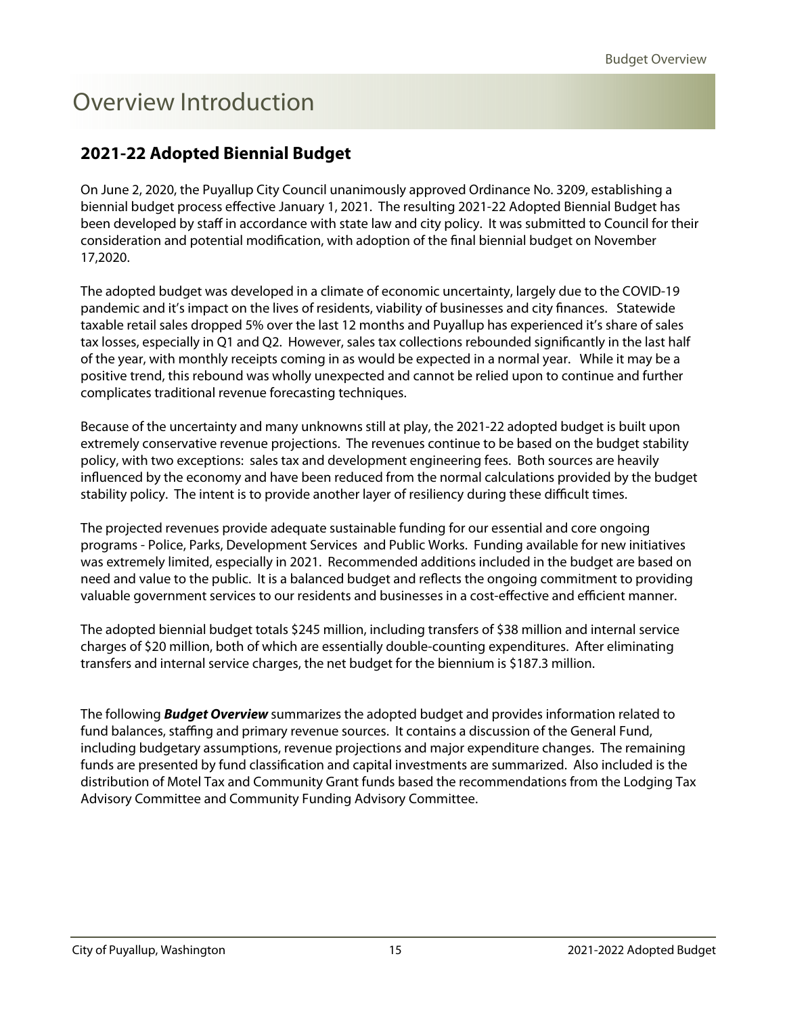# <span id="page-1-0"></span>Overview Introduction

### **2021-22 Adopted Biennial Budget**

On June 2, 2020, the Puyallup City Council unanimously approved Ordinance No. 3209, establishing a biennial budget process effective January 1, 2021. The resulting 2021-22 Adopted Biennial Budget has been developed by staff in accordance with state law and city policy. It was submitted to Council for their consideration and potential modification, with adoption of the final biennial budget on November 17,2020.

The adopted budget was developed in a climate of economic uncertainty, largely due to the COVID-19 pandemic and it's impact on the lives of residents, viability of businesses and city finances. Statewide taxable retail sales dropped 5% over the last 12 months and Puyallup has experienced it's share of sales tax losses, especially in Q1 and Q2. However, sales tax collections rebounded significantly in the last half of the year, with monthly receipts coming in as would be expected in a normal year. While it may be a positive trend, this rebound was wholly unexpected and cannot be relied upon to continue and further complicates traditional revenue forecasting techniques.

Because of the uncertainty and many unknowns still at play, the 2021-22 adopted budget is built upon extremely conservative revenue projections. The revenues continue to be based on the budget stability policy, with two exceptions: sales tax and development engineering fees. Both sources are heavily influenced by the economy and have been reduced from the normal calculations provided by the budget stability policy. The intent is to provide another layer of resiliency during these difficult times.

The projected revenues provide adequate sustainable funding for our essential and core ongoing programs - Police, Parks, Development Services and Public Works. Funding available for new initiatives was extremely limited, especially in 2021. Recommended additions included in the budget are based on need and value to the public. It is a balanced budget and reflects the ongoing commitment to providing valuable government services to our residents and businesses in a cost-effective and efficient manner.

The adopted biennial budget totals \$245 million, including transfers of \$38 million and internal service charges of \$20 million, both of which are essentially double-counting expenditures. After eliminating transfers and internal service charges, the net budget for the biennium is \$187.3 million.

The following **Budget Overview** summarizes the adopted budget and provides information related to fund balances, staffing and primary revenue sources. It contains a discussion of the General Fund, including budgetary assumptions, revenue projections and major expenditure changes. The remaining funds are presented by fund classification and capital investments are summarized. Also included is the distribution of Motel Tax and Community Grant funds based the recommendations from the Lodging Tax Advisory Committee and Community Funding Advisory Committee.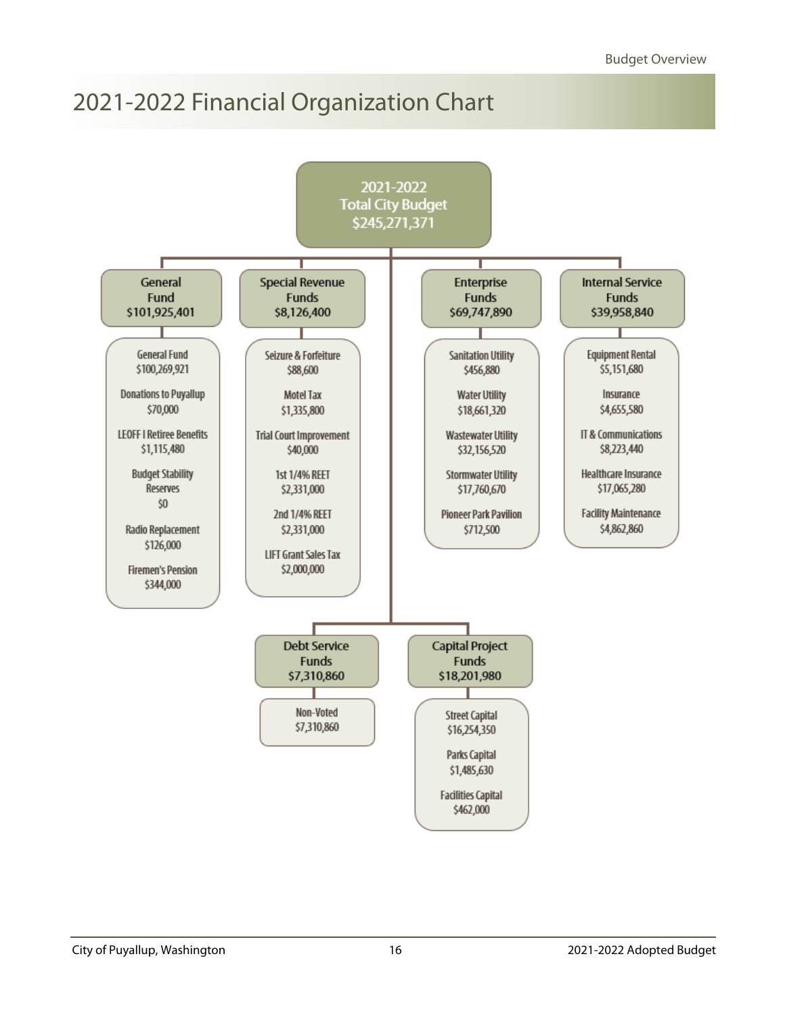## <span id="page-2-0"></span>2021-2022 Financial Organization Chart

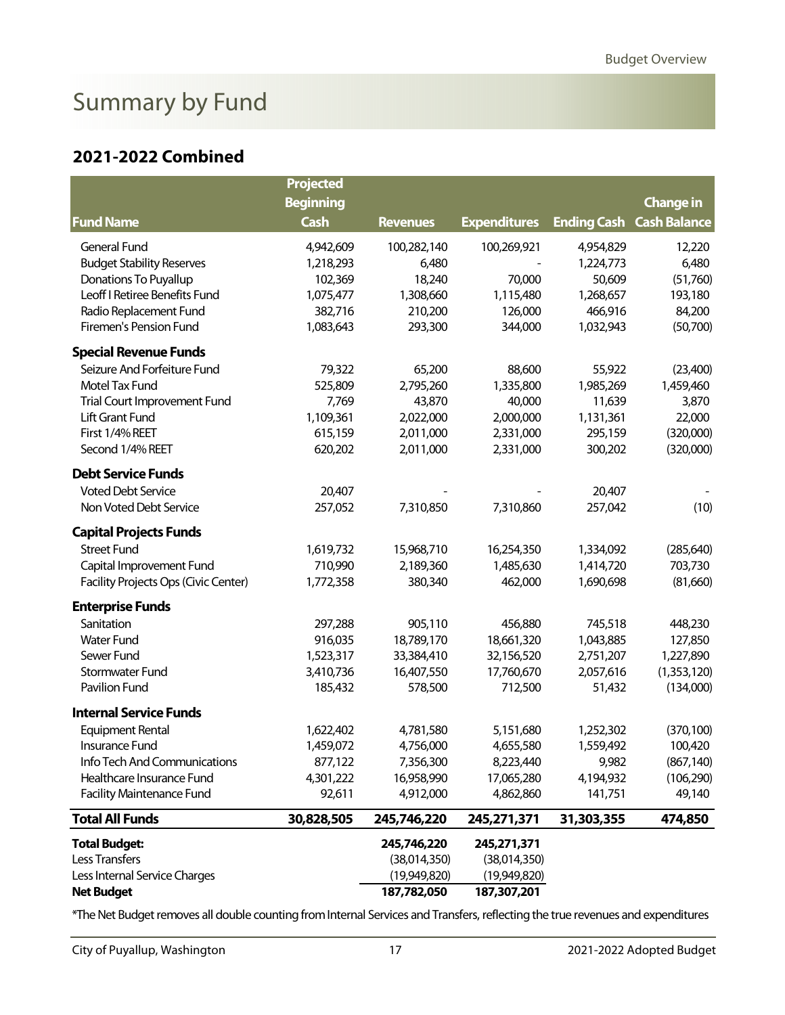# <span id="page-3-0"></span>Summary by Fund

#### **2021-2022 Combined**

|                                      | <b>Projected</b> |                 |                     |                    |                     |
|--------------------------------------|------------------|-----------------|---------------------|--------------------|---------------------|
|                                      | <b>Beginning</b> |                 |                     |                    | <b>Change in</b>    |
| <b>Fund Name</b>                     | <b>Cash</b>      | <b>Revenues</b> | <b>Expenditures</b> | <b>Ending Cash</b> | <b>Cash Balance</b> |
| General Fund                         | 4,942,609        | 100,282,140     | 100,269,921         | 4,954,829          | 12,220              |
| <b>Budget Stability Reserves</b>     | 1,218,293        | 6,480           |                     | 1,224,773          | 6,480               |
| Donations To Puyallup                | 102,369          | 18,240          | 70,000              | 50,609             | (51,760)            |
| Leoff I Retiree Benefits Fund        | 1,075,477        | 1,308,660       | 1,115,480           | 1,268,657          | 193,180             |
| Radio Replacement Fund               | 382,716          | 210,200         | 126,000             | 466,916            | 84,200              |
| Firemen's Pension Fund               | 1,083,643        | 293,300         | 344,000             | 1,032,943          | (50,700)            |
| <b>Special Revenue Funds</b>         |                  |                 |                     |                    |                     |
| Seizure And Forfeiture Fund          | 79,322           | 65,200          | 88,600              | 55,922             | (23,400)            |
| Motel Tax Fund                       | 525,809          | 2,795,260       | 1,335,800           | 1,985,269          | 1,459,460           |
| Trial Court Improvement Fund         | 7,769            | 43,870          | 40,000              | 11,639             | 3,870               |
| Lift Grant Fund                      | 1,109,361        | 2,022,000       | 2,000,000           | 1,131,361          | 22,000              |
| First 1/4% REET                      | 615,159          | 2,011,000       | 2,331,000           | 295,159            | (320,000)           |
| Second 1/4% REET                     | 620,202          | 2,011,000       | 2,331,000           | 300,202            | (320,000)           |
| <b>Debt Service Funds</b>            |                  |                 |                     |                    |                     |
| <b>Voted Debt Service</b>            | 20,407           |                 |                     | 20,407             |                     |
| Non Voted Debt Service               | 257,052          | 7,310,850       | 7,310,860           | 257,042            | (10)                |
| <b>Capital Projects Funds</b>        |                  |                 |                     |                    |                     |
| <b>Street Fund</b>                   | 1,619,732        | 15,968,710      | 16,254,350          | 1,334,092          | (285, 640)          |
| Capital Improvement Fund             | 710,990          | 2,189,360       | 1,485,630           | 1,414,720          | 703,730             |
| Facility Projects Ops (Civic Center) | 1,772,358        | 380,340         | 462,000             | 1,690,698          | (81,660)            |
| <b>Enterprise Funds</b>              |                  |                 |                     |                    |                     |
| Sanitation                           | 297,288          | 905,110         | 456,880             | 745,518            | 448,230             |
| <b>Water Fund</b>                    | 916,035          | 18,789,170      | 18,661,320          | 1,043,885          | 127,850             |
| Sewer Fund                           | 1,523,317        | 33,384,410      | 32,156,520          | 2,751,207          | 1,227,890           |
| Stormwater Fund                      | 3,410,736        | 16,407,550      | 17,760,670          | 2,057,616          | (1,353,120)         |
| Pavilion Fund                        | 185,432          | 578,500         | 712,500             | 51,432             | (134,000)           |
| <b>Internal Service Funds</b>        |                  |                 |                     |                    |                     |
| <b>Equipment Rental</b>              | 1,622,402        | 4,781,580       | 5,151,680           | 1,252,302          | (370, 100)          |
| Insurance Fund                       | 1,459,072        | 4,756,000       | 4,655,580           | 1,559,492          | 100,420             |
| Info Tech And Communications         | 877,122          | 7,356,300       | 8,223,440           | 9,982              | (867, 140)          |
| Healthcare Insurance Fund            | 4,301,222        | 16,958,990      | 17,065,280          | 4,194,932          | (106, 290)          |
| <b>Facility Maintenance Fund</b>     | 92,611           | 4,912,000       | 4,862,860           | 141,751            | 49,140              |
| <b>Total All Funds</b>               | 30,828,505       | 245,746,220     | 245,271,371         | 31,303,355         | 474,850             |
| <b>Total Budget:</b>                 |                  | 245,746,220     | 245,271,371         |                    |                     |
| Less Transfers                       |                  | (38,014,350)    | (38,014,350)        |                    |                     |
| Less Internal Service Charges        |                  | (19,949,820)    | (19,949,820)        |                    |                     |
| <b>Net Budget</b>                    |                  | 187,782,050     | 187,307,201         |                    |                     |

\*The Net Budget removes all double counting from Internal Services and Transfers, reflecting the true revenues and expenditures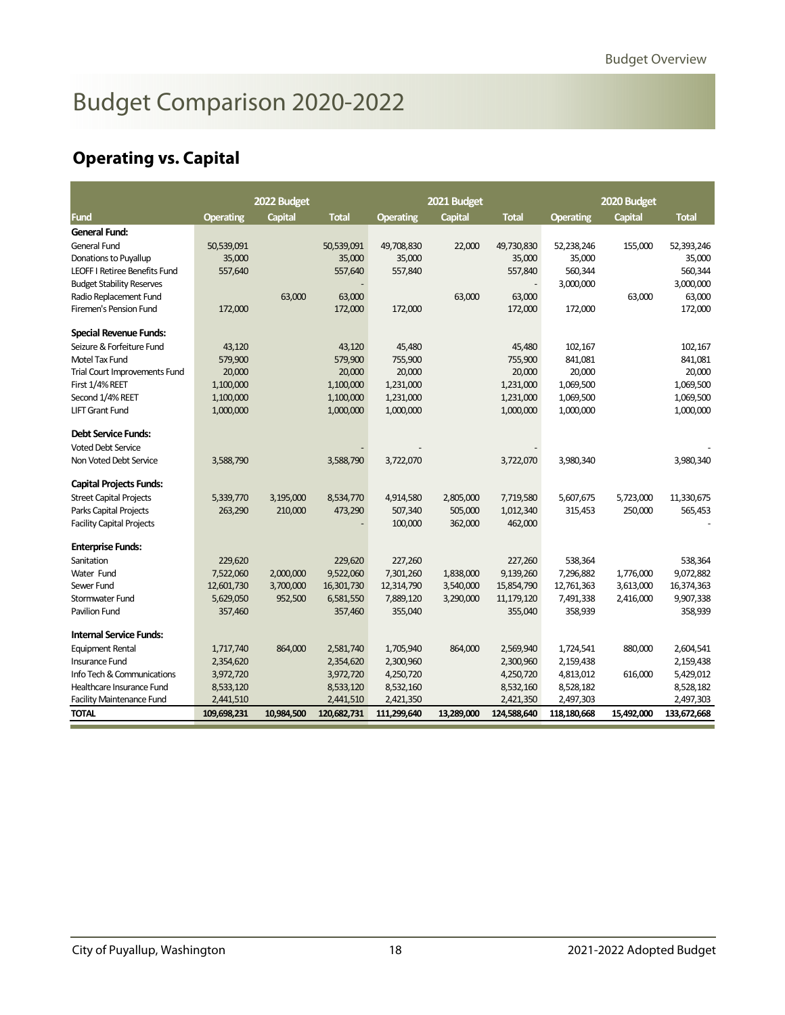# <span id="page-4-0"></span>Budget Comparison 2020-2022

### **Operating vs. Capital**

|                                      |                  | 2022 Budget    |              |                  | 2021 Budget    |              |                  | 2020 Budget    |              |
|--------------------------------------|------------------|----------------|--------------|------------------|----------------|--------------|------------------|----------------|--------------|
| <b>Fund</b>                          | <b>Operating</b> | <b>Capital</b> | <b>Total</b> | <b>Operating</b> | <b>Capital</b> | <b>Total</b> | <b>Operating</b> | <b>Capital</b> | <b>Total</b> |
| General Fund:                        |                  |                |              |                  |                |              |                  |                |              |
| General Fund                         | 50,539,091       |                | 50,539,091   | 49,708,830       | 22,000         | 49,730,830   | 52,238,246       | 155,000        | 52,393,246   |
| Donations to Puyallup                | 35,000           |                | 35,000       | 35,000           |                | 35,000       | 35,000           |                | 35,000       |
| <b>LEOFF I Retiree Benefits Fund</b> | 557,640          |                | 557,640      | 557,840          |                | 557,840      | 560,344          |                | 560,344      |
| <b>Budget Stability Reserves</b>     |                  |                |              |                  |                |              | 3,000,000        |                | 3,000,000    |
| Radio Replacement Fund               |                  | 63,000         | 63,000       |                  | 63,000         | 63,000       |                  | 63,000         | 63,000       |
| Firemen's Pension Fund               | 172,000          |                | 172,000      | 172,000          |                | 172,000      | 172,000          |                | 172,000      |
| <b>Special Revenue Funds:</b>        |                  |                |              |                  |                |              |                  |                |              |
| Seizure & Forfeiture Fund            | 43,120           |                | 43,120       | 45,480           |                | 45,480       | 102,167          |                | 102,167      |
| Motel Tax Fund                       | 579,900          |                | 579,900      | 755,900          |                | 755,900      | 841,081          |                | 841,081      |
| Trial Court Improvements Fund        | 20,000           |                | 20,000       | 20,000           |                | 20,000       | 20,000           |                | 20,000       |
| First 1/4% REET                      | 1,100,000        |                | 1,100,000    | 1,231,000        |                | 1,231,000    | 1,069,500        |                | 1,069,500    |
| Second 1/4% REET                     | 1,100,000        |                | 1,100,000    | 1,231,000        |                | 1,231,000    | 1,069,500        |                | 1,069,500    |
| <b>LIFT Grant Fund</b>               | 1,000,000        |                | 1,000,000    | 1,000,000        |                | 1,000,000    | 1,000,000        |                | 1,000,000    |
| <b>Debt Service Funds:</b>           |                  |                |              |                  |                |              |                  |                |              |
| <b>Voted Debt Service</b>            |                  |                |              |                  |                |              |                  |                |              |
| Non Voted Debt Service               | 3,588,790        |                | 3,588,790    | 3,722,070        |                | 3,722,070    | 3,980,340        |                | 3,980,340    |
| <b>Capital Projects Funds:</b>       |                  |                |              |                  |                |              |                  |                |              |
| <b>Street Capital Projects</b>       | 5,339,770        | 3,195,000      | 8,534,770    | 4,914,580        | 2,805,000      | 7,719,580    | 5,607,675        | 5,723,000      | 11,330,675   |
| Parks Capital Projects               | 263,290          | 210,000        | 473,290      | 507,340          | 505,000        | 1,012,340    | 315,453          | 250,000        | 565,453      |
| <b>Facility Capital Projects</b>     |                  |                |              | 100,000          | 362,000        | 462,000      |                  |                |              |
| <b>Enterprise Funds:</b>             |                  |                |              |                  |                |              |                  |                |              |
| Sanitation                           | 229,620          |                | 229,620      | 227,260          |                | 227,260      | 538,364          |                | 538,364      |
| Water Fund                           | 7,522,060        | 2,000,000      | 9,522,060    | 7,301,260        | 1,838,000      | 9,139,260    | 7,296,882        | 1,776,000      | 9,072,882    |
| Sewer Fund                           | 12,601,730       | 3,700,000      | 16,301,730   | 12,314,790       | 3,540,000      | 15,854,790   | 12,761,363       | 3,613,000      | 16,374,363   |
| Stormwater Fund                      | 5,629,050        | 952,500        | 6,581,550    | 7,889,120        | 3,290,000      | 11,179,120   | 7,491,338        | 2,416,000      | 9,907,338    |
| Pavilion Fund                        | 357,460          |                | 357,460      | 355,040          |                | 355,040      | 358,939          |                | 358,939      |
| <b>Internal Service Funds:</b>       |                  |                |              |                  |                |              |                  |                |              |
| <b>Equipment Rental</b>              | 1,717,740        | 864,000        | 2,581,740    | 1,705,940        | 864,000        | 2,569,940    | 1,724,541        | 880,000        | 2,604,541    |
| <b>Insurance Fund</b>                | 2,354,620        |                | 2,354,620    | 2,300,960        |                | 2,300,960    | 2,159,438        |                | 2,159,438    |
| Info Tech & Communications           | 3,972,720        |                | 3,972,720    | 4,250,720        |                | 4,250,720    | 4,813,012        | 616,000        | 5,429,012    |
| Healthcare Insurance Fund            | 8,533,120        |                | 8,533,120    | 8,532,160        |                | 8,532,160    | 8,528,182        |                | 8,528,182    |
| <b>Facility Maintenance Fund</b>     | 2,441,510        |                | 2,441,510    | 2,421,350        |                | 2,421,350    | 2,497,303        |                | 2,497,303    |
| <b>TOTAL</b>                         | 109,698,231      | 10,984,500     | 120,682,731  | 111,299,640      | 13,289,000     | 124,588,640  | 118,180,668      | 15,492,000     | 133,672,668  |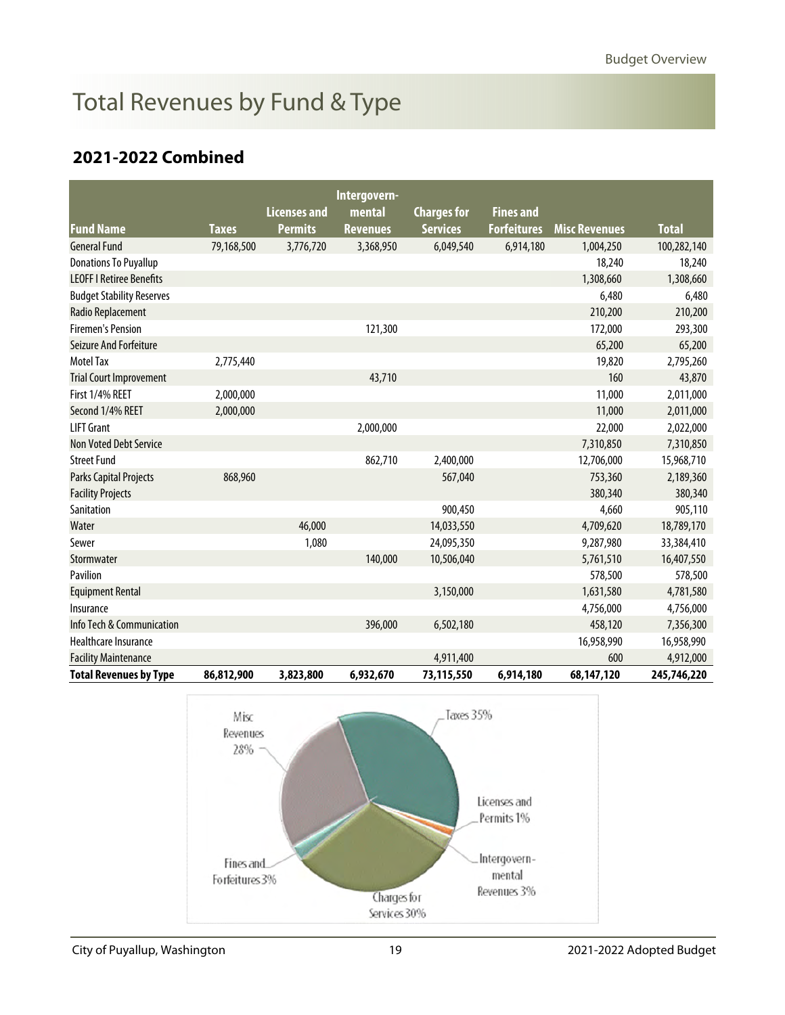# <span id="page-5-0"></span>Total Revenues by Fund & Type

### **2021-2022 Combined**

|                                  |              |                     | Intergovern-    |                    |                    |                      |              |
|----------------------------------|--------------|---------------------|-----------------|--------------------|--------------------|----------------------|--------------|
|                                  |              | <b>Licenses and</b> | mental          | <b>Charges for</b> | <b>Fines and</b>   |                      |              |
| <b>Fund Name</b>                 | <b>Taxes</b> | <b>Permits</b>      | <b>Revenues</b> | <b>Services</b>    | <b>Forfeitures</b> | <b>Misc Revenues</b> | <b>Total</b> |
| <b>General Fund</b>              | 79,168,500   | 3,776,720           | 3,368,950       | 6,049,540          | 6,914,180          | 1,004,250            | 100,282,140  |
| <b>Donations To Puyallup</b>     |              |                     |                 |                    |                    | 18,240               | 18,240       |
| <b>LEOFF I Retiree Benefits</b>  |              |                     |                 |                    |                    | 1,308,660            | 1,308,660    |
| <b>Budget Stability Reserves</b> |              |                     |                 |                    |                    | 6,480                | 6,480        |
| Radio Replacement                |              |                     |                 |                    |                    | 210,200              | 210,200      |
| <b>Firemen's Pension</b>         |              |                     | 121,300         |                    |                    | 172,000              | 293,300      |
| <b>Seizure And Forfeiture</b>    |              |                     |                 |                    |                    | 65,200               | 65,200       |
| <b>Motel Tax</b>                 | 2,775,440    |                     |                 |                    |                    | 19,820               | 2,795,260    |
| <b>Trial Court Improvement</b>   |              |                     | 43,710          |                    |                    | 160                  | 43,870       |
| First 1/4% REET                  | 2,000,000    |                     |                 |                    |                    | 11,000               | 2,011,000    |
| Second 1/4% REET                 | 2,000,000    |                     |                 |                    |                    | 11,000               | 2,011,000    |
| <b>LIFT Grant</b>                |              |                     | 2,000,000       |                    |                    | 22,000               | 2,022,000    |
| <b>Non Voted Debt Service</b>    |              |                     |                 |                    |                    | 7,310,850            | 7,310,850    |
| <b>Street Fund</b>               |              |                     | 862,710         | 2,400,000          |                    | 12,706,000           | 15,968,710   |
| Parks Capital Projects           | 868,960      |                     |                 | 567,040            |                    | 753,360              | 2,189,360    |
| <b>Facility Projects</b>         |              |                     |                 |                    |                    | 380,340              | 380,340      |
| Sanitation                       |              |                     |                 | 900,450            |                    | 4,660                | 905,110      |
| Water                            |              | 46,000              |                 | 14,033,550         |                    | 4,709,620            | 18,789,170   |
| Sewer                            |              | 1,080               |                 | 24,095,350         |                    | 9,287,980            | 33,384,410   |
| Stormwater                       |              |                     | 140,000         | 10,506,040         |                    | 5,761,510            | 16,407,550   |
| Pavilion                         |              |                     |                 |                    |                    | 578,500              | 578,500      |
| <b>Equipment Rental</b>          |              |                     |                 | 3,150,000          |                    | 1,631,580            | 4,781,580    |
| Insurance                        |              |                     |                 |                    |                    | 4,756,000            | 4,756,000    |
| Info Tech & Communication        |              |                     | 396,000         | 6,502,180          |                    | 458,120              | 7,356,300    |
| Healthcare Insurance             |              |                     |                 |                    |                    | 16,958,990           | 16,958,990   |
| <b>Facility Maintenance</b>      |              |                     |                 | 4,911,400          |                    | 600                  | 4,912,000    |
| <b>Total Revenues by Type</b>    | 86,812,900   | 3,823,800           | 6,932,670       | 73,115,550         | 6,914,180          | 68,147,120           | 245,746,220  |

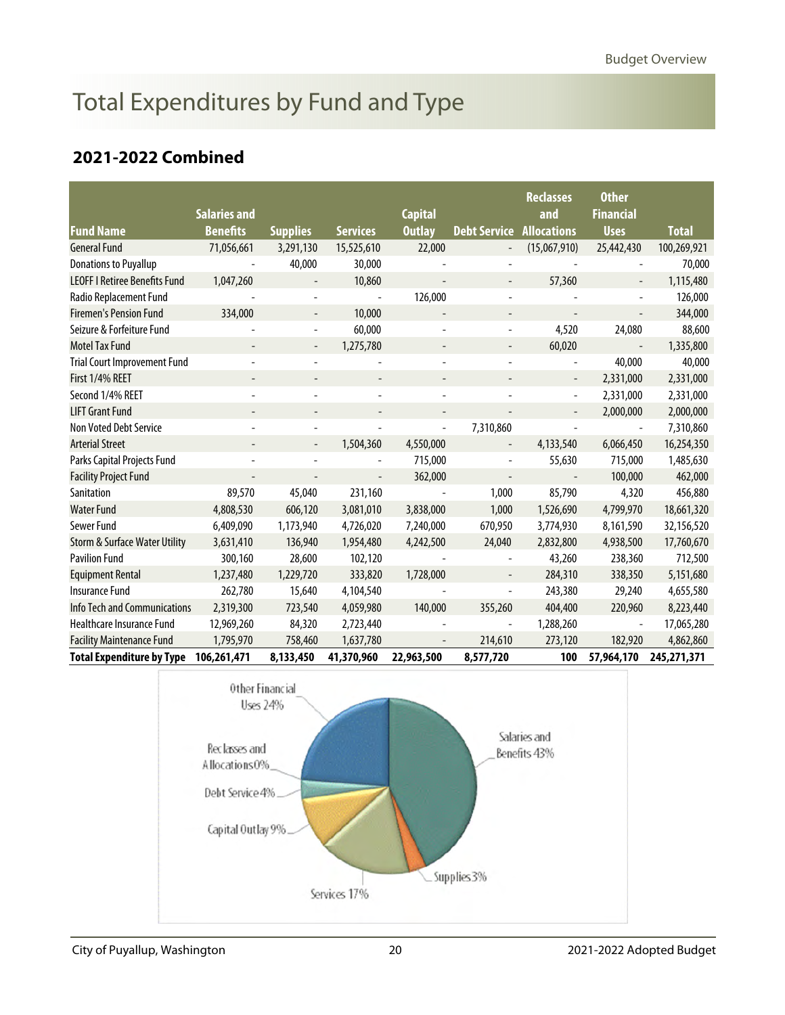# <span id="page-6-0"></span>Total Expenditures by Fund and Type

### **2021-2022 Combined**

|                                          | <b>Salaries and</b>      |                          |                 | <b>Capital</b> |                              | <b>Reclasses</b><br>and  | <b>Other</b><br><b>Financial</b> |              |
|------------------------------------------|--------------------------|--------------------------|-----------------|----------------|------------------------------|--------------------------|----------------------------------|--------------|
| <b>Fund Name</b>                         | <b>Benefits</b>          | <b>Supplies</b>          | <b>Services</b> | <b>Outlay</b>  | <b>Debt Service</b>          | <b>Allocations</b>       | <b>Uses</b>                      | <b>Total</b> |
| <b>General Fund</b>                      | 71,056,661               | 3,291,130                | 15,525,610      | 22,000         | $\overline{\phantom{a}}$     | (15,067,910)             | 25,442,430                       | 100,269,921  |
| <b>Donations to Puyallup</b>             |                          | 40,000                   | 30,000          |                |                              |                          |                                  | 70,000       |
| <b>LEOFF I Retiree Benefits Fund</b>     | 1,047,260                |                          | 10,860          |                |                              | 57,360                   |                                  | 1,115,480    |
| Radio Replacement Fund                   |                          | $\overline{\phantom{a}}$ | $\blacksquare$  | 126,000        | $\qquad \qquad \blacksquare$ |                          | $\overline{\phantom{a}}$         | 126,000      |
| <b>Firemen's Pension Fund</b>            | 334,000                  |                          | 10,000          |                |                              |                          |                                  | 344,000      |
| Seizure & Forfeiture Fund                |                          | $\overline{\phantom{a}}$ | 60,000          |                | $\overline{\phantom{a}}$     | 4,520                    | 24,080                           | 88,600       |
| <b>Motel Tax Fund</b>                    |                          |                          | 1,275,780       |                |                              | 60,020                   |                                  | 1,335,800    |
| <b>Trial Court Improvement Fund</b>      |                          |                          |                 |                |                              |                          | 40,000                           | 40,000       |
| First 1/4% REET                          | $\overline{\phantom{m}}$ |                          |                 |                |                              | $\overline{\phantom{a}}$ | 2,331,000                        | 2,331,000    |
| Second 1/4% REET                         |                          |                          |                 |                |                              |                          | 2,331,000                        | 2,331,000    |
| <b>LIFT Grant Fund</b>                   |                          |                          |                 |                | $\overline{\phantom{a}}$     | $\overline{\phantom{a}}$ | 2,000,000                        | 2,000,000    |
| Non Voted Debt Service                   |                          |                          |                 |                | 7,310,860                    |                          |                                  | 7,310,860    |
| <b>Arterial Street</b>                   | $\overline{\phantom{a}}$ | $\overline{\phantom{a}}$ | 1,504,360       | 4,550,000      | $\overline{\phantom{a}}$     | 4,133,540                | 6,066,450                        | 16,254,350   |
| Parks Capital Projects Fund              |                          |                          |                 | 715,000        |                              | 55,630                   | 715,000                          | 1,485,630    |
| <b>Facility Project Fund</b>             |                          |                          |                 | 362,000        |                              |                          | 100,000                          | 462,000      |
| Sanitation                               | 89,570                   | 45,040                   | 231,160         |                | 1,000                        | 85,790                   | 4,320                            | 456,880      |
| <b>Water Fund</b>                        | 4,808,530                | 606,120                  | 3,081,010       | 3,838,000      | 1,000                        | 1,526,690                | 4,799,970                        | 18,661,320   |
| Sewer Fund                               | 6,409,090                | 1,173,940                | 4,726,020       | 7,240,000      | 670,950                      | 3,774,930                | 8,161,590                        | 32,156,520   |
| <b>Storm &amp; Surface Water Utility</b> | 3,631,410                | 136,940                  | 1,954,480       | 4,242,500      | 24,040                       | 2,832,800                | 4,938,500                        | 17,760,670   |
| <b>Pavilion Fund</b>                     | 300,160                  | 28,600                   | 102,120         |                |                              | 43,260                   | 238,360                          | 712,500      |
| <b>Equipment Rental</b>                  | 1,237,480                | 1,229,720                | 333,820         | 1,728,000      |                              | 284,310                  | 338,350                          | 5,151,680    |
| <b>Insurance Fund</b>                    | 262,780                  | 15,640                   | 4,104,540       |                | $\blacksquare$               | 243,380                  | 29,240                           | 4,655,580    |
| <b>Info Tech and Communications</b>      | 2,319,300                | 723,540                  | 4,059,980       | 140,000        | 355,260                      | 404,400                  | 220,960                          | 8,223,440    |
| Healthcare Insurance Fund                | 12,969,260               | 84,320                   | 2,723,440       |                | $\overline{\phantom{a}}$     | 1,288,260                | $\overline{\phantom{a}}$         | 17,065,280   |
| <b>Facility Maintenance Fund</b>         | 1,795,970                | 758,460                  | 1,637,780       |                | 214,610                      | 273,120                  | 182,920                          | 4,862,860    |
| <b>Total Expenditure by Type</b>         | 106,261,471              | 8,133,450                | 41,370,960      | 22,963,500     | 8,577,720                    | 100                      | 57,964,170                       | 245,271,371  |

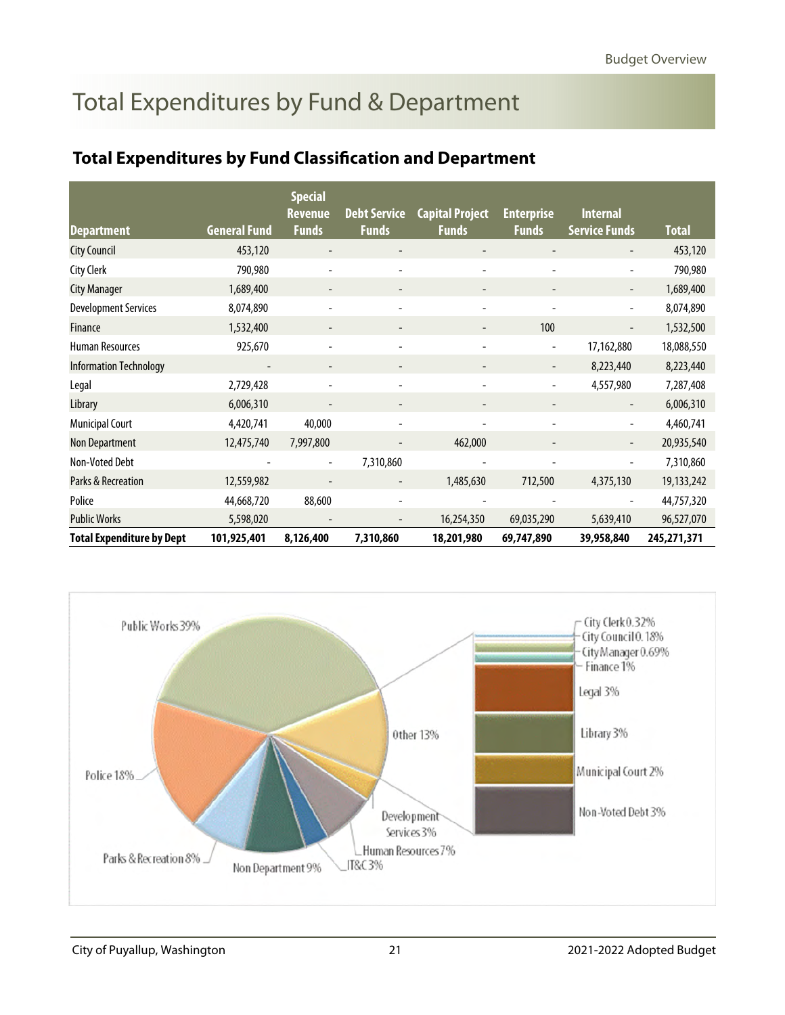# <span id="page-7-0"></span>Total Expenditures by Fund & Department

### **Total Expenditures by Fund Classification and Department**

|                                  |                          | <b>Special</b>                 |                                     |                                        |                                   |                                         |              |
|----------------------------------|--------------------------|--------------------------------|-------------------------------------|----------------------------------------|-----------------------------------|-----------------------------------------|--------------|
| <b>Department</b>                | <b>General Fund</b>      | <b>Revenue</b><br><b>Funds</b> | <b>Debt Service</b><br><b>Funds</b> | <b>Capital Project</b><br><b>Funds</b> | <b>Enterprise</b><br><b>Funds</b> | <b>Internal</b><br><b>Service Funds</b> | <b>Total</b> |
| <b>City Council</b>              | 453,120                  |                                |                                     |                                        |                                   |                                         | 453,120      |
| <b>City Clerk</b>                | 790,980                  |                                |                                     |                                        |                                   |                                         | 790,980      |
| <b>City Manager</b>              | 1,689,400                |                                |                                     |                                        |                                   |                                         | 1,689,400    |
| <b>Development Services</b>      | 8,074,890                |                                |                                     |                                        |                                   |                                         | 8,074,890    |
| <b>Finance</b>                   | 1,532,400                | $\overline{\phantom{a}}$       |                                     |                                        | 100                               |                                         | 1,532,500    |
| <b>Human Resources</b>           | 925,670                  | $\overline{a}$                 | $\overline{a}$                      | $\overline{a}$                         | $\overline{\phantom{a}}$          | 17,162,880                              | 18,088,550   |
| <b>Information Technology</b>    | $\overline{\phantom{a}}$ | $\overline{\phantom{a}}$       | $\overline{\phantom{m}}$            | $\overline{\phantom{a}}$               | $\overline{\phantom{a}}$          | 8,223,440                               | 8,223,440    |
| Legal                            | 2,729,428                |                                | $\qquad \qquad -$                   | $\overline{\phantom{m}}$               |                                   | 4,557,980                               | 7,287,408    |
| Library                          | 6,006,310                |                                |                                     |                                        |                                   |                                         | 6,006,310    |
| <b>Municipal Court</b>           | 4,420,741                | 40,000                         |                                     |                                        |                                   |                                         | 4,460,741    |
| Non Department                   | 12,475,740               | 7,997,800                      |                                     | 462,000                                |                                   |                                         | 20,935,540   |
| Non-Voted Debt                   |                          | $\overline{a}$                 | 7,310,860                           |                                        |                                   |                                         | 7,310,860    |
| Parks & Recreation               | 12,559,982               |                                |                                     | 1,485,630                              | 712,500                           | 4,375,130                               | 19,133,242   |
| Police                           | 44,668,720               | 88,600                         |                                     |                                        |                                   |                                         | 44,757,320   |
| <b>Public Works</b>              | 5,598,020                |                                |                                     | 16,254,350                             | 69,035,290                        | 5,639,410                               | 96,527,070   |
| <b>Total Expenditure by Dept</b> | 101,925,401              | 8,126,400                      | 7,310,860                           | 18,201,980                             | 69,747,890                        | 39,958,840                              | 245,271,371  |

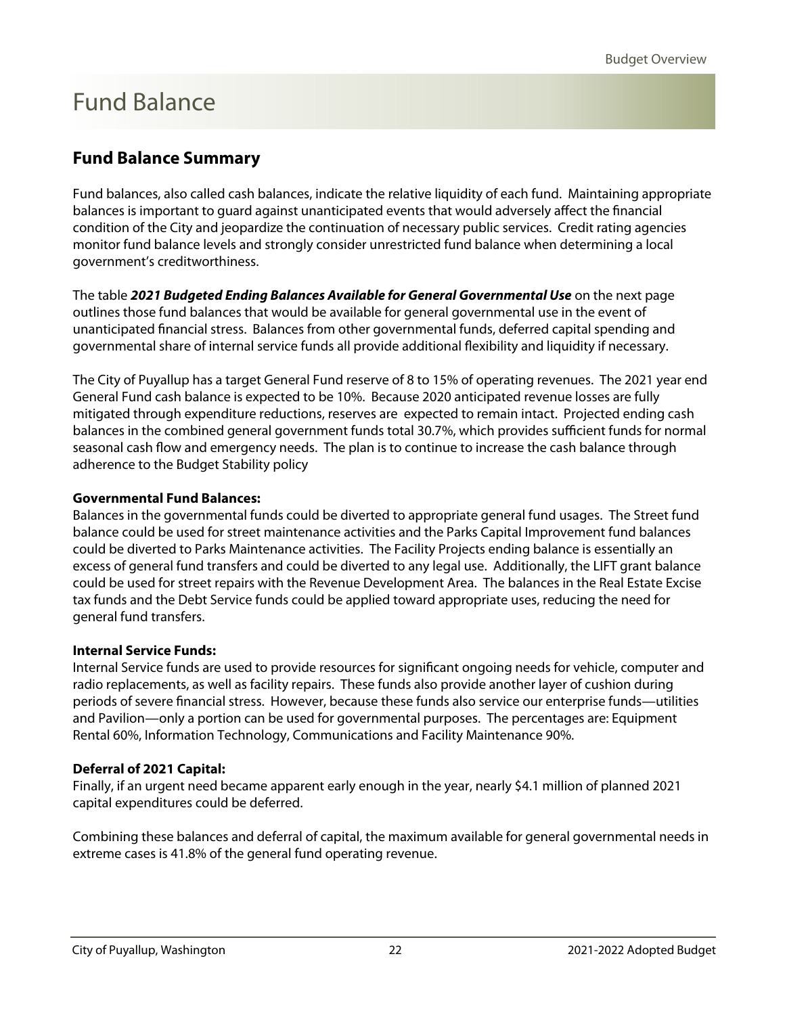## <span id="page-8-0"></span>Fund Balance

### **Fund Balance Summary**

Fund balances, also called cash balances, indicate the relative liquidity of each fund. Maintaining appropriate balances is important to guard against unanticipated events that would adversely affect the financial condition of the City and jeopardize the continuation of necessary public services. Credit rating agencies monitor fund balance levels and strongly consider unrestricted fund balance when determining a local government's creditworthiness.

The table **2021 Budgeted Ending Balances Available for General Governmental Use** on the next page outlines those fund balances that would be available for general governmental use in the event of unanticipated financial stress. Balances from other governmental funds, deferred capital spending and governmental share of internal service funds all provide additional flexibility and liquidity if necessary.

The City of Puyallup has a target General Fund reserve of 8 to 15% of operating revenues. The 2021 year end General Fund cash balance is expected to be 10%. Because 2020 anticipated revenue losses are fully mitigated through expenditure reductions, reserves are expected to remain intact. Projected ending cash balances in the combined general government funds total 30.7%, which provides sufficient funds for normal seasonal cash flow and emergency needs. The plan is to continue to increase the cash balance through adherence to the Budget Stability policy

#### **Governmental Fund Balances:**

Balances in the governmental funds could be diverted to appropriate general fund usages. The Street fund balance could be used for street maintenance activities and the Parks Capital Improvement fund balances could be diverted to Parks Maintenance activities. The Facility Projects ending balance is essentially an excess of general fund transfers and could be diverted to any legal use. Additionally, the LIFT grant balance could be used for street repairs with the Revenue Development Area. The balances in the Real Estate Excise tax funds and the Debt Service funds could be applied toward appropriate uses, reducing the need for general fund transfers.

#### **Internal Service Funds:**

Internal Service funds are used to provide resources for significant ongoing needs for vehicle, computer and radio replacements, as well as facility repairs. These funds also provide another layer of cushion during periods of severe financial stress. However, because these funds also service our enterprise funds—utilities and Pavilion—only a portion can be used for governmental purposes. The percentages are: Equipment Rental 60%, Information Technology, Communications and Facility Maintenance 90%.

#### **Deferral of 2021 Capital:**

Finally, if an urgent need became apparent early enough in the year, nearly \$4.1 million of planned 2021 capital expenditures could be deferred.

Combining these balances and deferral of capital, the maximum available for general governmental needs in extreme cases is 41.8% of the general fund operating revenue.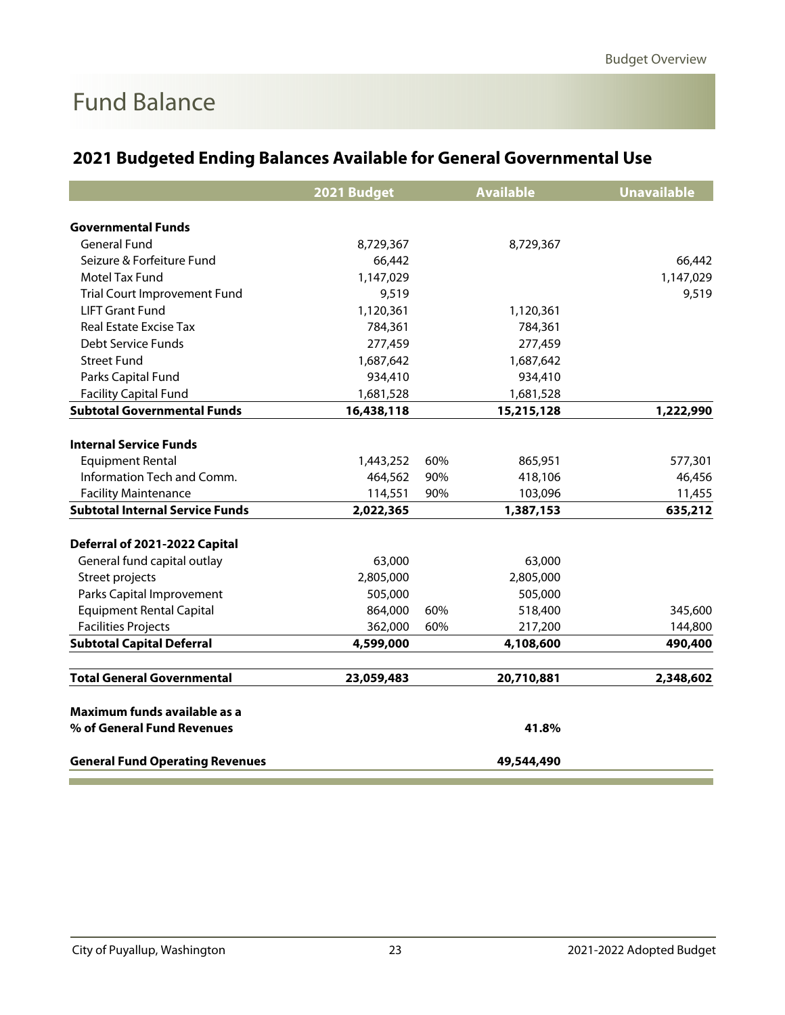## Fund Balance

|                                        | 2021 Budget |     | <b>Available</b> | <b>Unavailable</b> |
|----------------------------------------|-------------|-----|------------------|--------------------|
|                                        |             |     |                  |                    |
| <b>Governmental Funds</b>              |             |     |                  |                    |
| <b>General Fund</b>                    | 8,729,367   |     | 8,729,367        |                    |
| Seizure & Forfeiture Fund              | 66,442      |     |                  | 66,442             |
| Motel Tax Fund                         | 1,147,029   |     |                  | 1,147,029          |
| <b>Trial Court Improvement Fund</b>    | 9,519       |     |                  | 9,519              |
| <b>LIFT Grant Fund</b>                 | 1,120,361   |     | 1,120,361        |                    |
| <b>Real Estate Excise Tax</b>          | 784,361     |     | 784,361          |                    |
| Debt Service Funds                     | 277,459     |     | 277,459          |                    |
| <b>Street Fund</b>                     | 1,687,642   |     | 1,687,642        |                    |
| Parks Capital Fund                     | 934,410     |     | 934,410          |                    |
| <b>Facility Capital Fund</b>           | 1,681,528   |     | 1,681,528        |                    |
| <b>Subtotal Governmental Funds</b>     | 16,438,118  |     | 15,215,128       | 1,222,990          |
|                                        |             |     |                  |                    |
| <b>Internal Service Funds</b>          |             |     |                  |                    |
| <b>Equipment Rental</b>                | 1,443,252   | 60% | 865,951          | 577,301            |
| Information Tech and Comm.             | 464,562     | 90% | 418,106          | 46,456             |
| <b>Facility Maintenance</b>            | 114,551     | 90% | 103,096          | 11,455             |
| <b>Subtotal Internal Service Funds</b> | 2,022,365   |     | 1,387,153        | 635,212            |
| Deferral of 2021-2022 Capital          |             |     |                  |                    |
| General fund capital outlay            | 63,000      |     | 63,000           |                    |
| Street projects                        | 2,805,000   |     | 2,805,000        |                    |
| Parks Capital Improvement              | 505,000     |     | 505,000          |                    |
| <b>Equipment Rental Capital</b>        | 864,000     | 60% | 518,400          | 345,600            |
| <b>Facilities Projects</b>             | 362,000     | 60% | 217,200          | 144,800            |
| <b>Subtotal Capital Deferral</b>       | 4,599,000   |     | 4,108,600        | 490,400            |
| <b>Total General Governmental</b>      | 23,059,483  |     | 20,710,881       | 2,348,602          |
|                                        |             |     |                  |                    |
| Maximum funds available as a           |             |     |                  |                    |
| % of General Fund Revenues             |             |     | 41.8%            |                    |
| <b>General Fund Operating Revenues</b> |             |     | 49,544,490       |                    |

### **2021 Budgeted Ending Balances Available for General Governmental Use**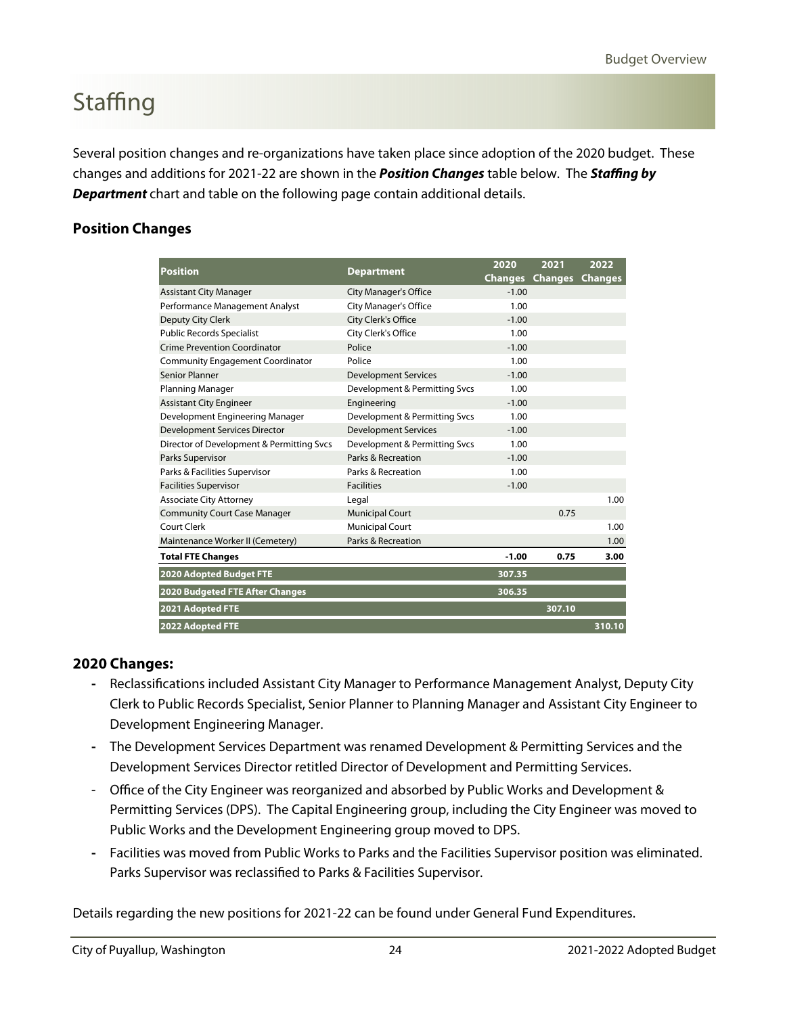# <span id="page-10-0"></span>**Staffing**

Several position changes and re-organizations have taken place since adoption of the 2020 budget. These changes and additions for 2021-22 are shown in the **Position Changes** table below. The **Staffing by Department** chart and table on the following page contain additional details.

#### **Position Changes**

| <b>Position</b>                           | <b>Department</b>             | 2020           | 2021           | 2022           |
|-------------------------------------------|-------------------------------|----------------|----------------|----------------|
|                                           |                               | <b>Changes</b> | <b>Changes</b> | <b>Changes</b> |
| <b>Assistant City Manager</b>             | <b>City Manager's Office</b>  | $-1.00$        |                |                |
| Performance Management Analyst            | <b>City Manager's Office</b>  | 1.00           |                |                |
| Deputy City Clerk                         | City Clerk's Office           | $-1.00$        |                |                |
| <b>Public Records Specialist</b>          | City Clerk's Office           | 1.00           |                |                |
| <b>Crime Prevention Coordinator</b>       | Police                        | $-1.00$        |                |                |
| <b>Community Engagement Coordinator</b>   | Police                        | 1.00           |                |                |
| <b>Senior Planner</b>                     | <b>Development Services</b>   | $-1.00$        |                |                |
| Planning Manager                          | Development & Permitting Svcs | 1.00           |                |                |
| <b>Assistant City Engineer</b>            | Engineering                   | $-1.00$        |                |                |
| Development Engineering Manager           | Development & Permitting Svcs | 1.00           |                |                |
| <b>Development Services Director</b>      | <b>Development Services</b>   | $-1.00$        |                |                |
| Director of Development & Permitting Svcs | Development & Permitting Svcs | 1.00           |                |                |
| Parks Supervisor                          | Parks & Recreation            | $-1.00$        |                |                |
| Parks & Facilities Supervisor             | Parks & Recreation            | 1.00           |                |                |
| <b>Facilities Supervisor</b>              | <b>Facilities</b>             | $-1.00$        |                |                |
| <b>Associate City Attorney</b>            | Legal                         |                |                | 1.00           |
| <b>Community Court Case Manager</b>       | <b>Municipal Court</b>        |                | 0.75           |                |
| Court Clerk                               | <b>Municipal Court</b>        |                |                | 1.00           |
| Maintenance Worker II (Cemetery)          | Parks & Recreation            |                |                | 1.00           |
| <b>Total FTE Changes</b>                  |                               | $-1.00$        | 0.75           | 3.00           |
| 2020 Adopted Budget FTE                   |                               | 307.35         |                |                |
| <b>2020 Budgeted FTE After Changes</b>    |                               | 306.35         |                |                |
| 2021 Adopted FTE                          |                               |                | 307.10         |                |
| 2022 Adopted FTE                          |                               |                |                | 310.10         |

#### **2020 Changes:**

- **-** Reclassifications included Assistant City Manager to Performance Management Analyst, Deputy City Clerk to Public Records Specialist, Senior Planner to Planning Manager and Assistant City Engineer to Development Engineering Manager.
- **-** The Development Services Department was renamed Development & Permitting Services and the Development Services Director retitled Director of Development and Permitting Services.
- Office of the City Engineer was reorganized and absorbed by Public Works and Development & Permitting Services (DPS). The Capital Engineering group, including the City Engineer was moved to Public Works and the Development Engineering group moved to DPS.
- **-** Facilities was moved from Public Works to Parks and the Facilities Supervisor position was eliminated. Parks Supervisor was reclassified to Parks & Facilities Supervisor.

Details regarding the new positions for 2021-22 can be found under General Fund Expenditures.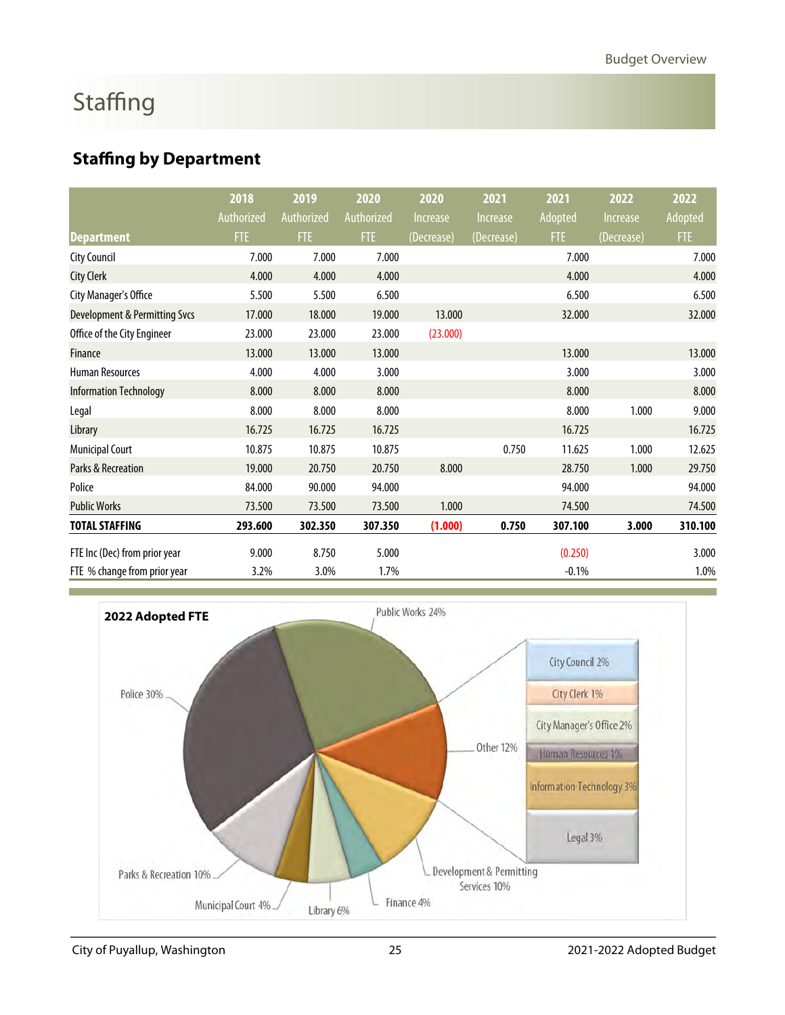# **Staffing**

### **Staffing by Department**

|                                          | 2018       | 2019       | 2020       | 2020            | 2021                          | 2021           | 2022       | 2022    |
|------------------------------------------|------------|------------|------------|-----------------|-------------------------------|----------------|------------|---------|
|                                          | Authorized | Authorized | Authorized | <b>Increase</b> | <i><u><b>Increase</b></u></i> | <b>Adopted</b> | Increase   | Adopted |
| <b>Department</b>                        | <b>FTE</b> | FTE        | <b>FTE</b> | (Decrease)      | (Decrease)                    | FTE            | (Decrease) | FTE     |
| <b>City Council</b>                      | 7.000      | 7.000      | 7.000      |                 |                               | 7.000          |            | 7.000   |
| <b>City Clerk</b>                        | 4.000      | 4.000      | 4.000      |                 |                               | 4.000          |            | 4.000   |
| City Manager's Office                    | 5.500      | 5.500      | 6.500      |                 |                               | 6.500          |            | 6.500   |
| <b>Development &amp; Permitting Svcs</b> | 17.000     | 18.000     | 19.000     | 13.000          |                               | 32.000         |            | 32.000  |
| Office of the City Engineer              | 23.000     | 23.000     | 23.000     | (23.000)        |                               |                |            |         |
| <b>Finance</b>                           | 13.000     | 13.000     | 13.000     |                 |                               | 13.000         |            | 13.000  |
| <b>Human Resources</b>                   | 4.000      | 4.000      | 3.000      |                 |                               | 3.000          |            | 3.000   |
| <b>Information Technology</b>            | 8.000      | 8.000      | 8.000      |                 |                               | 8.000          |            | 8.000   |
| Legal                                    | 8.000      | 8.000      | 8.000      |                 |                               | 8.000          | 1.000      | 9.000   |
| Library                                  | 16.725     | 16.725     | 16.725     |                 |                               | 16.725         |            | 16.725  |
| <b>Municipal Court</b>                   | 10.875     | 10.875     | 10.875     |                 | 0.750                         | 11.625         | 1.000      | 12.625  |
| Parks & Recreation                       | 19.000     | 20.750     | 20.750     | 8.000           |                               | 28.750         | 1.000      | 29.750  |
| Police                                   | 84.000     | 90.000     | 94.000     |                 |                               | 94.000         |            | 94.000  |
| <b>Public Works</b>                      | 73.500     | 73.500     | 73.500     | 1.000           |                               | 74.500         |            | 74.500  |
| <b>TOTAL STAFFING</b>                    | 293.600    | 302.350    | 307.350    | (1.000)         | 0.750                         | 307.100        | 3.000      | 310.100 |
| FTE Inc (Dec) from prior year            | 9.000      | 8.750      | 5.000      |                 |                               | (0.250)        |            | 3.000   |
| FTE % change from prior year             | 3.2%       | 3.0%       | 1.7%       |                 |                               | $-0.1%$        |            | 1.0%    |



City of Puyallup, Washington 25 2021-2022 Adopted Budget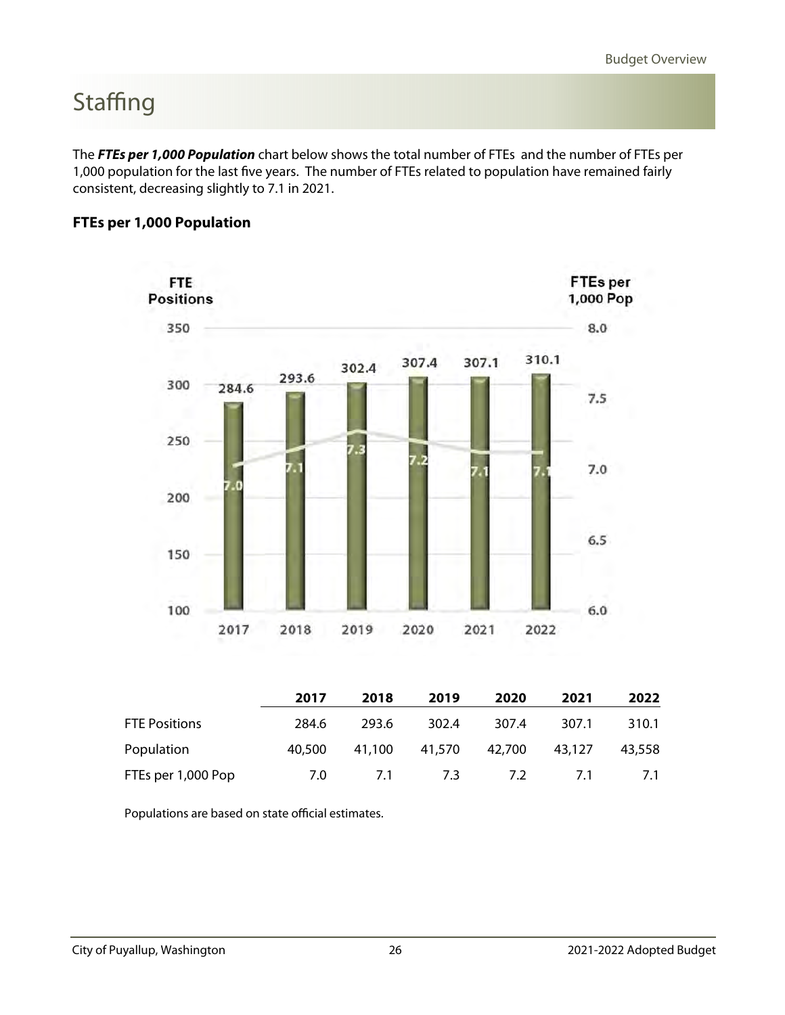# **Staffing**

The **FTEs per 1,000 Population** chart below shows the total number of FTEs and the number of FTEs per 1,000 population for the last five years. The number of FTEs related to population have remained fairly consistent, decreasing slightly to 7.1 in 2021.

#### **FTEs per 1,000 Population**



|                      | 2017   | 2018   | 2019   | 2020   | 2021   | 2022   |
|----------------------|--------|--------|--------|--------|--------|--------|
| <b>FTE Positions</b> | 284.6  | 293.6  | 302.4  | 307.4  | 307.1  | 310.1  |
| Population           | 40.500 | 41,100 | 41,570 | 42,700 | 43,127 | 43,558 |
| FTEs per 1,000 Pop   | 7.0    | 7.1    | 7.3    | 7.2    | 7.1    | 7.1    |

Populations are based on state official estimates.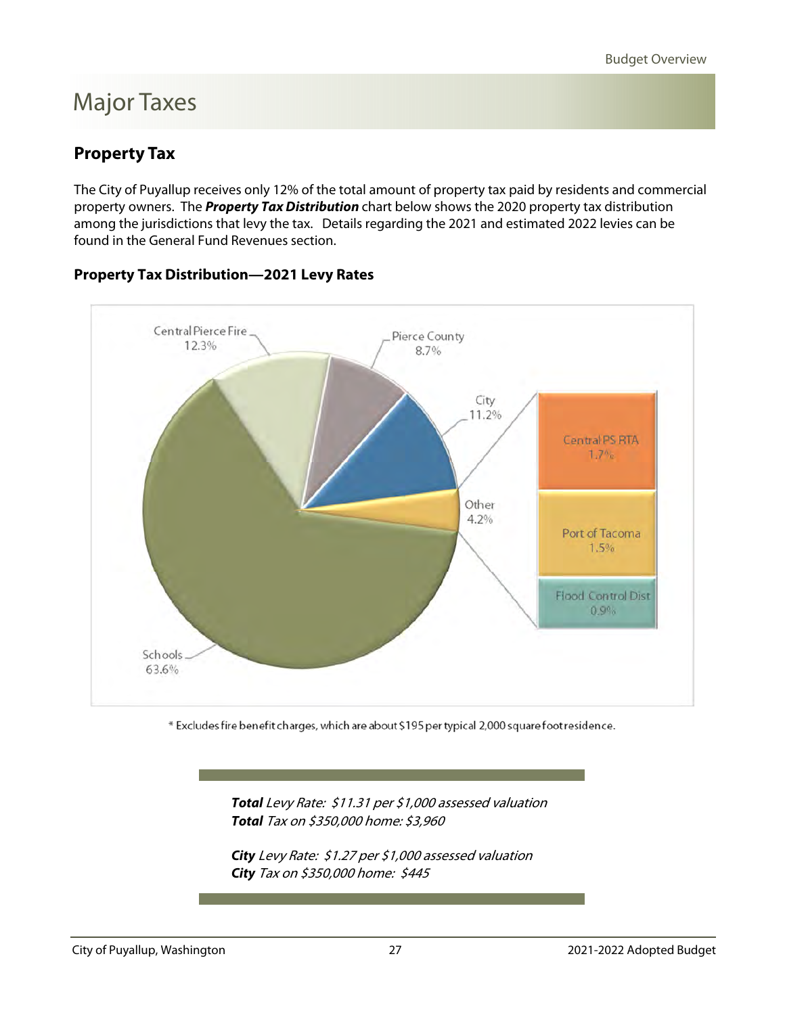### <span id="page-13-0"></span>Major Taxes

#### **Property Tax**

The City of Puyallup receives only 12% of the total amount of property tax paid by residents and commercial property owners. The **Property Tax Distribution** chart below shows the 2020 property tax distribution among the jurisdictions that levy the tax. Details regarding the 2021 and estimated 2022 levies can be found in the General Fund Revenues section.

### Central Pierce Fire Pierce County 12.3% 8.7% City 11.2% Central PS RTA  $1.7%$ Other 4.2% Port of Tacoma 1,5% **Flood Control Dist**  $0.9%$ Schools 63.6%

#### **Property Tax Distribution—2021 Levy Rates**

\* Excludes fire benefit charges, which are about \$195 per typical 2,000 square foot residence.

 **Total** Levy Rate: \$11.31 per \$1,000 assessed valuation  **Total** Tax on \$350,000 home: \$3,960

 **City** Levy Rate: \$1.27 per \$1,000 assessed valuation **City** Tax on \$350,000 home: \$445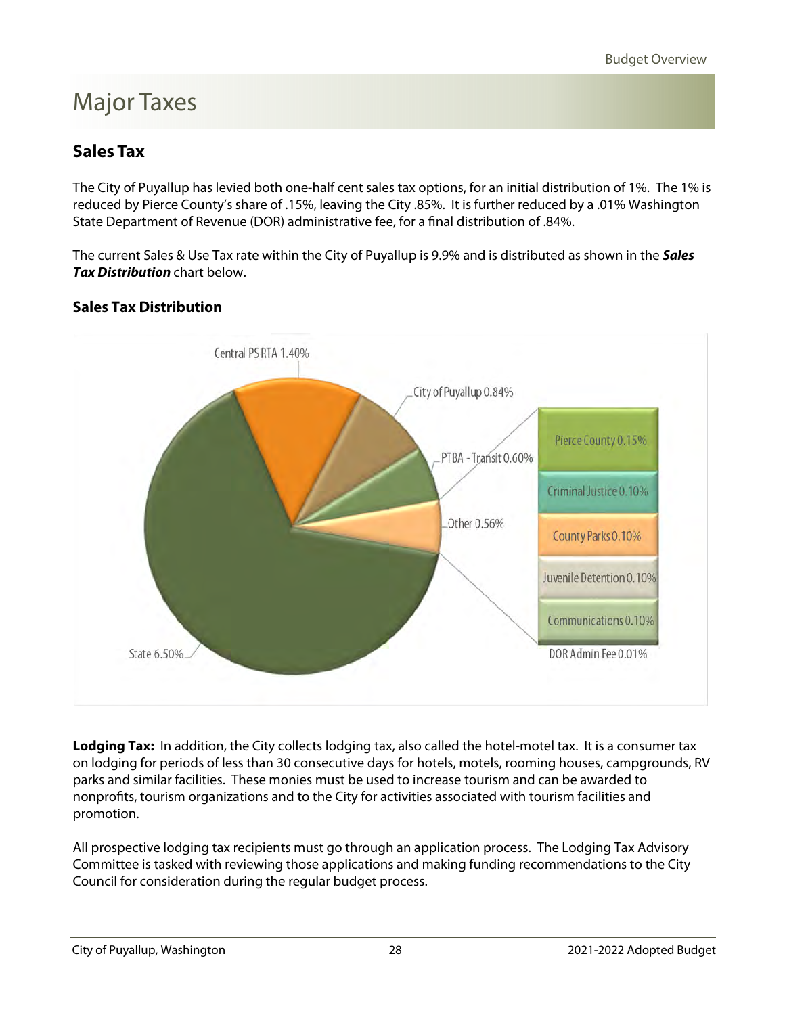### <span id="page-14-0"></span>Major Taxes

### **Sales Tax**

The City of Puyallup has levied both one-half cent sales tax options, for an initial distribution of 1%. The 1% is reduced by Pierce County's share of .15%, leaving the City .85%. It is further reduced by a .01% Washington State Department of Revenue (DOR) administrative fee, for a final distribution of .84%.

The current Sales & Use Tax rate within the City of Puyallup is 9.9% and is distributed as shown in the **Sales Tax Distribution** chart below.

#### **Sales Tax Distribution**



**Lodging Tax:** In addition, the City collects lodging tax, also called the hotel-motel tax. It is a consumer tax on lodging for periods of less than 30 consecutive days for hotels, motels, rooming houses, campgrounds, RV parks and similar facilities. These monies must be used to increase tourism and can be awarded to nonprofits, tourism organizations and to the City for activities associated with tourism facilities and promotion.

All prospective lodging tax recipients must go through an application process. The Lodging Tax Advisory Committee is tasked with reviewing those applications and making funding recommendations to the City Council for consideration during the regular budget process.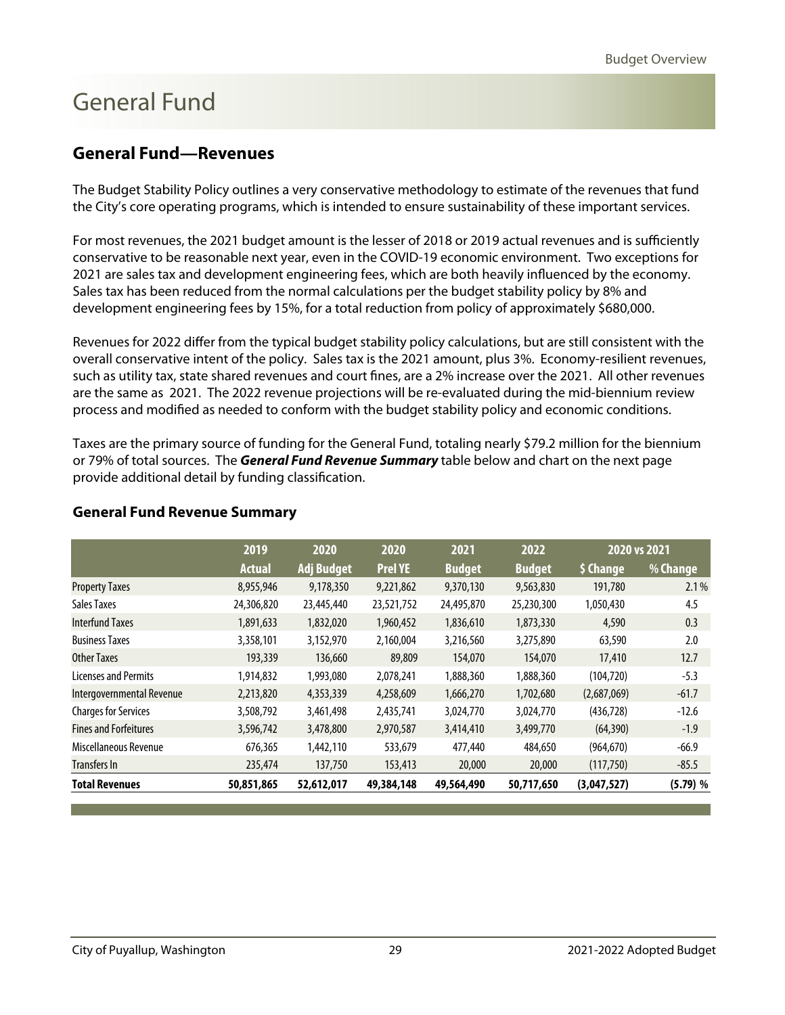#### <span id="page-15-0"></span>**General Fund—Revenues**

The Budget Stability Policy outlines a very conservative methodology to estimate of the revenues that fund the City's core operating programs, which is intended to ensure sustainability of these important services.

For most revenues, the 2021 budget amount is the lesser of 2018 or 2019 actual revenues and is sufficiently conservative to be reasonable next year, even in the COVID-19 economic environment. Two exceptions for 2021 are sales tax and development engineering fees, which are both heavily influenced by the economy. Sales tax has been reduced from the normal calculations per the budget stability policy by 8% and development engineering fees by 15%, for a total reduction from policy of approximately \$680,000.

Revenues for 2022 differ from the typical budget stability policy calculations, but are still consistent with the overall conservative intent of the policy. Sales tax is the 2021 amount, plus 3%. Economy-resilient revenues, such as utility tax, state shared revenues and court fines, are a 2% increase over the 2021. All other revenues are the same as 2021. The 2022 revenue projections will be re-evaluated during the mid-biennium review process and modified as needed to conform with the budget stability policy and economic conditions.

Taxes are the primary source of funding for the General Fund, totaling nearly \$79.2 million for the biennium or 79% of total sources. The **General Fund Revenue Summary** table below and chart on the next page provide additional detail by funding classification.

|                              | 2019          | 2020              | 2020           | 2021          | 2022          |             | 2020 vs 2021 |
|------------------------------|---------------|-------------------|----------------|---------------|---------------|-------------|--------------|
|                              | <b>Actual</b> | <b>Adj Budget</b> | <b>Prel YE</b> | <b>Budget</b> | <b>Budget</b> | \$ Change   | % Change     |
| <b>Property Taxes</b>        | 8,955,946     | 9,178,350         | 9,221,862      | 9,370,130     | 9,563,830     | 191,780     | 2.1%         |
| Sales Taxes                  | 24,306,820    | 23,445,440        | 23,521,752     | 24,495,870    | 25,230,300    | 1,050,430   | 4.5          |
| <b>Interfund Taxes</b>       | 1,891,633     | 1,832,020         | 1,960,452      | 1,836,610     | 1,873,330     | 4,590       | 0.3          |
| <b>Business Taxes</b>        | 3,358,101     | 3,152,970         | 2,160,004      | 3,216,560     | 3,275,890     | 63,590      | 2.0          |
| <b>Other Taxes</b>           | 193,339       | 136,660           | 89,809         | 154,070       | 154,070       | 17,410      | 12.7         |
| <b>Licenses and Permits</b>  | 1,914,832     | 1,993,080         | 2,078,241      | 1,888,360     | 1,888,360     | (104, 720)  | $-5.3$       |
| Intergovernmental Revenue    | 2,213,820     | 4,353,339         | 4,258,609      | 1,666,270     | 1,702,680     | (2,687,069) | $-61.7$      |
| <b>Charges for Services</b>  | 3,508,792     | 3,461,498         | 2,435,741      | 3,024,770     | 3,024,770     | (436, 728)  | $-12.6$      |
| <b>Fines and Forfeitures</b> | 3,596,742     | 3,478,800         | 2,970,587      | 3,414,410     | 3,499,770     | (64, 390)   | $-1.9$       |
| Miscellaneous Revenue        | 676,365       | 1,442,110         | 533,679        | 477,440       | 484,650       | (964, 670)  | $-66.9$      |
| Transfers In                 | 235,474       | 137,750           | 153,413        | 20,000        | 20,000        | (117,750)   | $-85.5$      |
| <b>Total Revenues</b>        | 50,851,865    | 52,612,017        | 49,384,148     | 49,564,490    | 50,717,650    | (3,047,527) | (5.79) %     |

#### **General Fund Revenue Summary**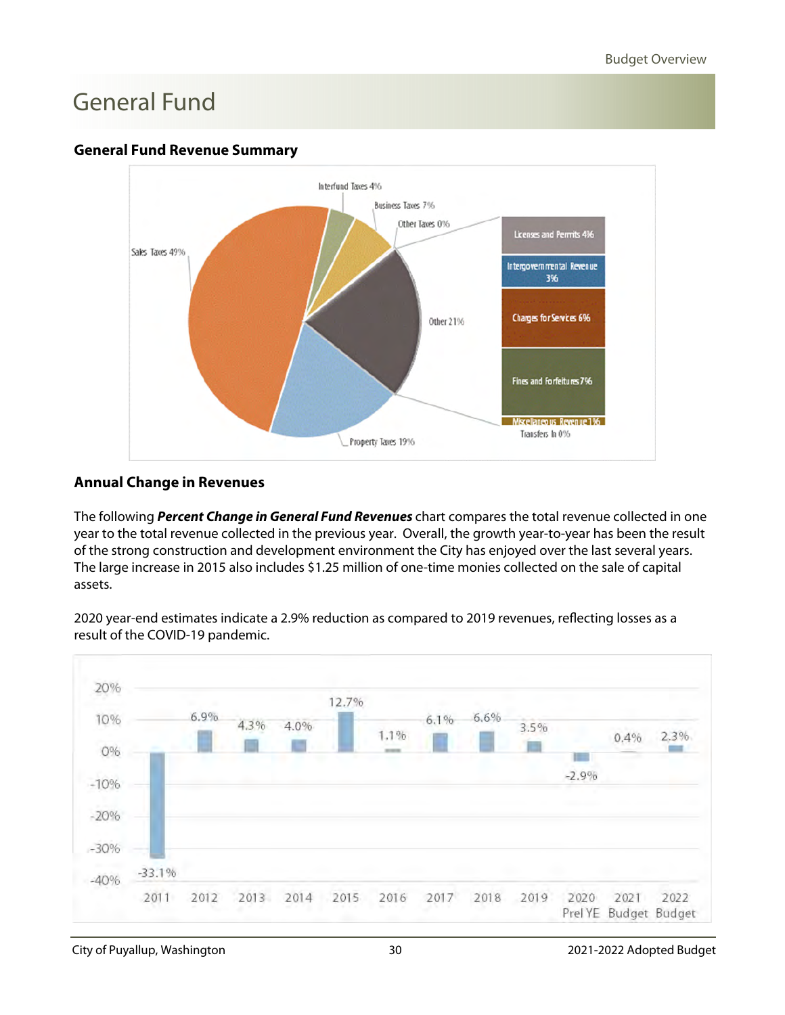#### **General Fund Revenue Summary**



#### **Annual Change in Revenues**

The following **Percent Change in General Fund Revenues** chart compares the total revenue collected in one year to the total revenue collected in the previous year. Overall, the growth year-to-year has been the result of the strong construction and development environment the City has enjoyed over the last several years. The large increase in 2015 also includes \$1.25 million of one-time monies collected on the sale of capital assets.

2020 year-end estimates indicate a 2.9% reduction as compared to 2019 revenues, reflecting losses as a result of the COVID-19 pandemic.

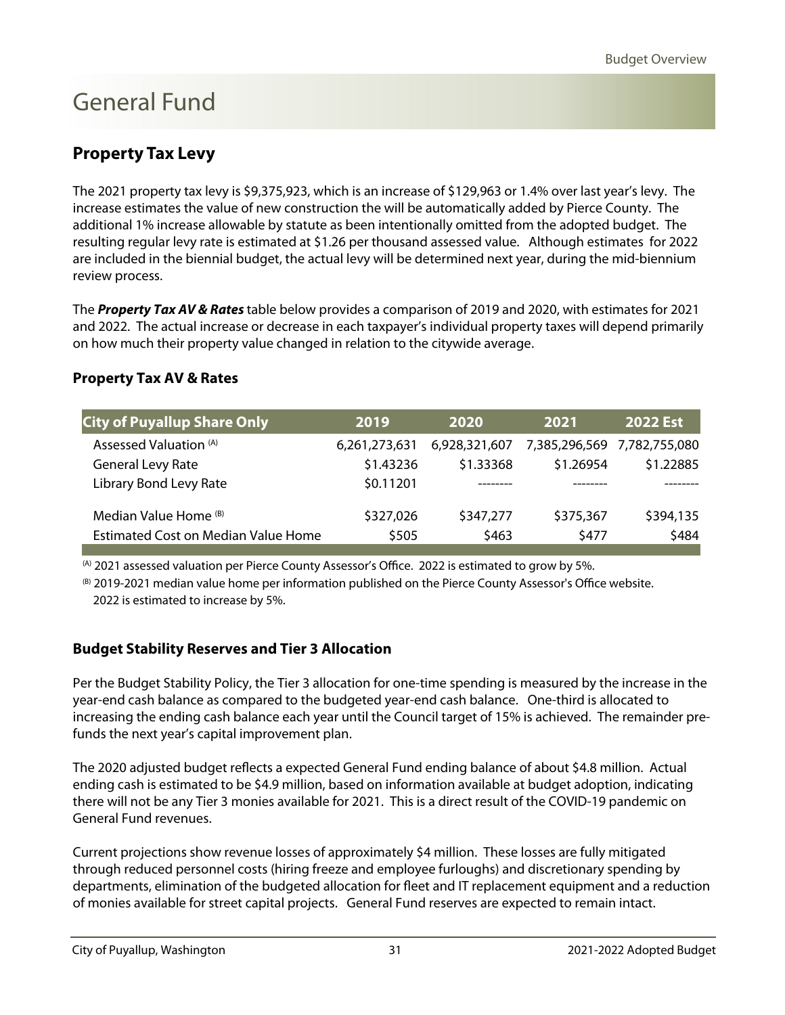### **Property Tax Levy**

The 2021 property tax levy is \$9,375,923, which is an increase of \$129,963 or 1.4% over last year's levy. The increase estimates the value of new construction the will be automatically added by Pierce County. The additional 1% increase allowable by statute as been intentionally omitted from the adopted budget. The resulting regular levy rate is estimated at \$1.26 per thousand assessed value. Although estimates for 2022 are included in the biennial budget, the actual levy will be determined next year, during the mid-biennium review process.

The **Property Tax AV & Rates** table below provides a comparison of 2019 and 2020, with estimates for 2021 and 2022. The actual increase or decrease in each taxpayer's individual property taxes will depend primarily on how much their property value changed in relation to the citywide average.

#### **Property Tax AV & Rates**

| <b>City of Puyallup Share Only</b>         | 2019          | 2020          | 2021      | <b>2022 Est</b>             |
|--------------------------------------------|---------------|---------------|-----------|-----------------------------|
| Assessed Valuation (A)                     | 6,261,273,631 | 6,928,321,607 |           | 7,385,296,569 7,782,755,080 |
| General Levy Rate                          | \$1.43236     | \$1.33368     | \$1.26954 | \$1.22885                   |
| Library Bond Levy Rate                     | \$0.11201     |               |           |                             |
| Median Value Home (B)                      | \$327,026     | \$347,277     | \$375,367 | \$394,135                   |
| <b>Estimated Cost on Median Value Home</b> | \$505         | \$463         | \$477     | \$484                       |
|                                            |               |               |           |                             |

(A) 2021 assessed valuation per Pierce County Assessor's Office. 2022 is estimated to grow by 5%.

(B) 2019-2021 median value home per information published on the Pierce County Assessor's Office website. 2022 is estimated to increase by 5%.

#### **Budget Stability Reserves and Tier 3 Allocation**

Per the Budget Stability Policy, the Tier 3 allocation for one-time spending is measured by the increase in the year-end cash balance as compared to the budgeted year-end cash balance. One-third is allocated to increasing the ending cash balance each year until the Council target of 15% is achieved. The remainder prefunds the next year's capital improvement plan.

The 2020 adjusted budget reflects a expected General Fund ending balance of about \$4.8 million. Actual ending cash is estimated to be \$4.9 million, based on information available at budget adoption, indicating there will not be any Tier 3 monies available for 2021. This is a direct result of the COVID-19 pandemic on General Fund revenues.

Current projections show revenue losses of approximately \$4 million. These losses are fully mitigated through reduced personnel costs (hiring freeze and employee furloughs) and discretionary spending by departments, elimination of the budgeted allocation for fleet and IT replacement equipment and a reduction of monies available for street capital projects. General Fund reserves are expected to remain intact.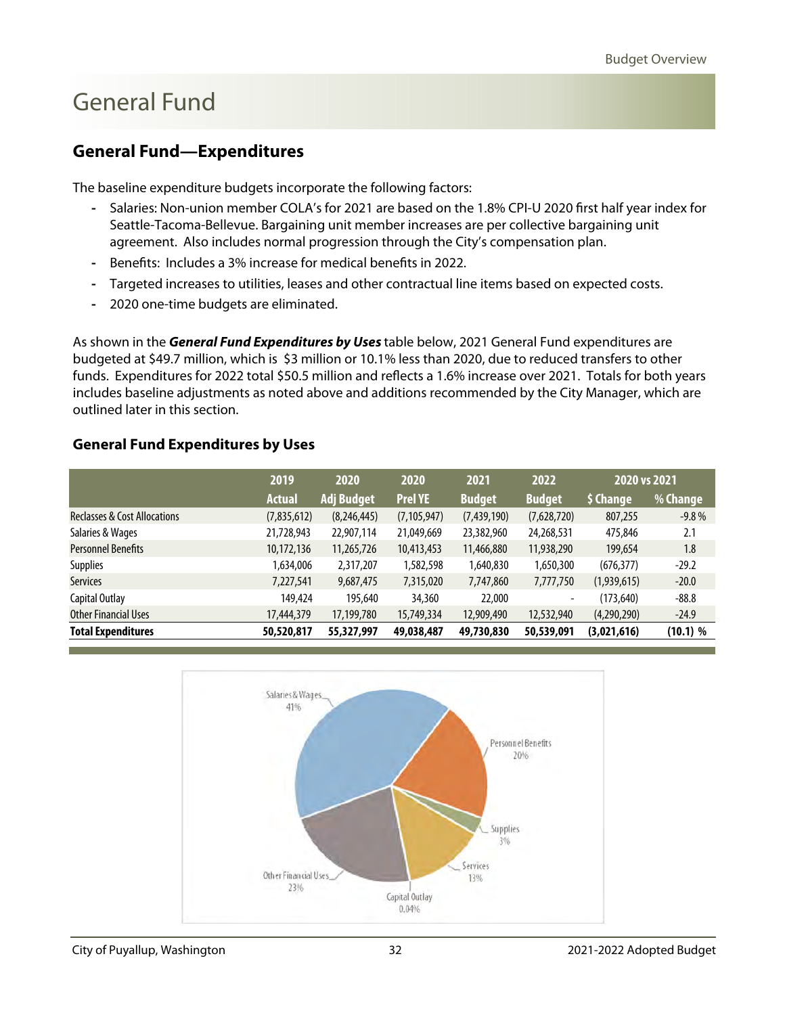#### <span id="page-18-0"></span>**General Fund—Expenditures**

The baseline expenditure budgets incorporate the following factors:

- **-** Salaries: Non-union member COLA's for 2021 are based on the 1.8% CPI-U 2020 first half year index for Seattle-Tacoma-Bellevue. Bargaining unit member increases are per collective bargaining unit agreement. Also includes normal progression through the City's compensation plan.
- **-** Benefits: Includes a 3% increase for medical benefits in 2022.
- **-** Targeted increases to utilities, leases and other contractual line items based on expected costs.
- **-** 2020 one-time budgets are eliminated.

As shown in the **General Fund Expenditures by Uses** table below, 2021 General Fund expenditures are budgeted at \$49.7 million, which is \$3 million or 10.1% less than 2020, due to reduced transfers to other funds. Expenditures for 2022 total \$50.5 million and reflects a 1.6% increase over 2021. Totals for both years includes baseline adjustments as noted above and additions recommended by the City Manager, which are outlined later in this section.

#### **General Fund Expenditures by Uses**

|                                         | 2019          | 2020              |                | 2021<br>2020  |               |             | 2020 vs 2021 |  |
|-----------------------------------------|---------------|-------------------|----------------|---------------|---------------|-------------|--------------|--|
|                                         | <b>Actual</b> | <b>Adj Budget</b> | <b>Prel YE</b> | <b>Budget</b> | <b>Budget</b> | \$ Change   | % Change     |  |
| <b>Reclasses &amp; Cost Allocations</b> | (7,835,612)   | (8,246,445)       | (7, 105, 947)  | (7,439,190)   | (7,628,720)   | 807,255     | $-9.8%$      |  |
| Salaries & Wages                        | 21,728,943    | 22,907,114        | 21,049,669     | 23,382,960    | 24,268,531    | 475,846     | 2.1          |  |
| <b>Personnel Benefits</b>               | 10,172,136    | 11,265,726        | 10,413,453     | 11,466,880    | 11,938,290    | 199,654     | 1.8          |  |
| <b>Supplies</b>                         | 1,634,006     | 2,317,207         | 1,582,598      | 1,640,830     | 1,650,300     | (676, 377)  | $-29.2$      |  |
| <b>Services</b>                         | 7,227,541     | 9,687,475         | 7,315,020      | 7,747,860     | 7,777,750     | (1,939,615) | $-20.0$      |  |
| Capital Outlay                          | 149,424       | 195,640           | 34,360         | 22,000        | ٠             | (173, 640)  | $-88.8$      |  |
| <b>Other Financial Uses</b>             | 17,444,379    | 17,199,780        | 15,749,334     | 12,909,490    | 12,532,940    | (4,290,290) | $-24.9$      |  |
| <b>Total Expenditures</b>               | 50,520,817    | 55,327,997        | 49,038,487     | 49,730,830    | 50,539,091    | (3,021,616) | (10.1) %     |  |

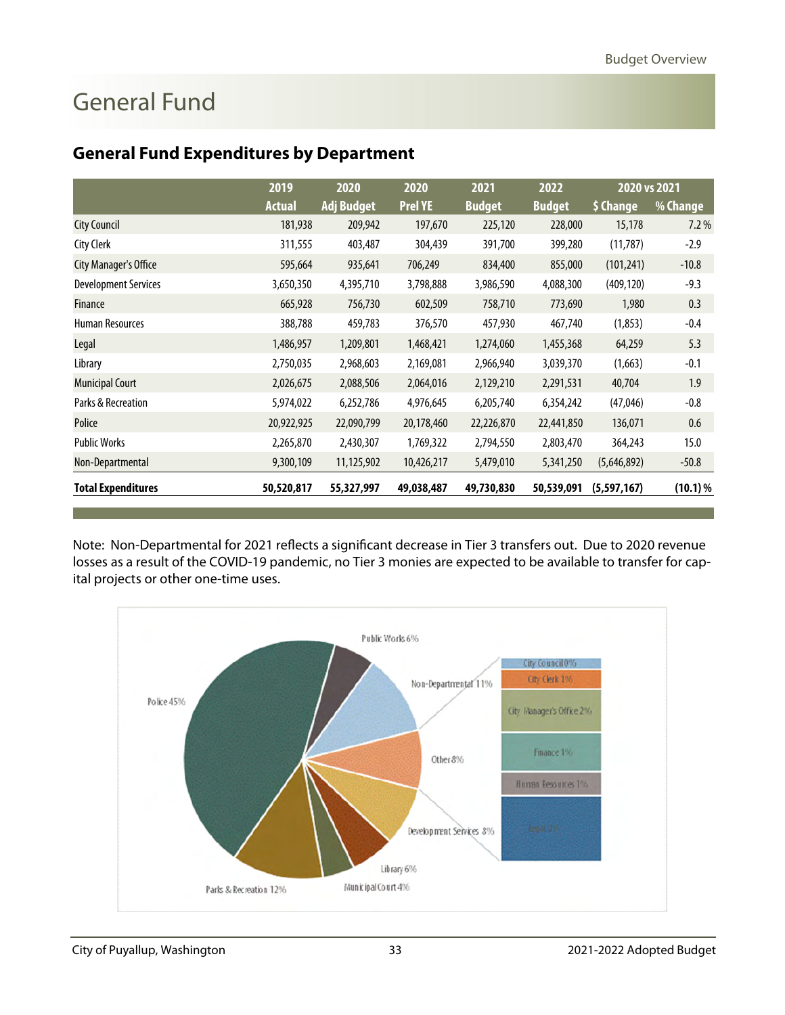|                       | 2019          | 2020              | 2020           | 2021          | 2022          | 2020 vs 2021 |            |
|-----------------------|---------------|-------------------|----------------|---------------|---------------|--------------|------------|
|                       | <b>Actual</b> | <b>Adj Budget</b> | <b>Prel YE</b> | <b>Budget</b> | <b>Budget</b> | \$ Change    | % Change   |
| City Council          | 181,938       | 209,942           | 197,670        | 225,120       | 228,000       | 15,178       | 7.2%       |
| City Clerk            | 311,555       | 403,487           | 304,439        | 391,700       | 399,280       | (11, 787)    | $-2.9$     |
| City Manager's Office | 595,664       | 935,641           | 706,249        | 834,400       | 855,000       | (101, 241)   | $-10.8$    |
| Development Services  | 3,650,350     | 4,395,710         | 3,798,888      | 3,986,590     | 4,088,300     | (409, 120)   | $-9.3$     |
| Finance               | 665,928       | 756,730           | 602,509        | 758,710       | 773,690       | 1,980        | 0.3        |
| Human Resources       | 388,788       | 459,783           | 376,570        | 457,930       | 467,740       | (1, 853)     | $-0.4$     |
| Legal                 | 1,486,957     | 1,209,801         | 1,468,421      | 1,274,060     | 1,455,368     | 64,259       | 5.3        |
| Library               | 2,750,035     | 2,968,603         | 2,169,081      | 2,966,940     | 3,039,370     | (1,663)      | $-0.1$     |
| Municipal Court       | 2,026,675     | 2,088,506         | 2,064,016      | 2,129,210     | 2,291,531     | 40,704       | 1.9        |
| Parks & Recreation    | 5,974,022     | 6,252,786         | 4,976,645      | 6,205,740     | 6,354,242     | (47, 046)    | $-0.8$     |
| Police                | 20,922,925    | 22,090,799        | 20,178,460     | 22,226,870    | 22,441,850    | 136,071      | 0.6        |
| Public Works          | 2,265,870     | 2,430,307         | 1,769,322      | 2,794,550     | 2,803,470     | 364,243      | 15.0       |
| Non-Departmental      | 9,300,109     | 11,125,902        | 10,426,217     | 5,479,010     | 5,341,250     | (5,646,892)  | $-50.8$    |
| Total Expenditures    | 50,520,817    | 55,327,997        | 49,038,487     | 49,730,830    | 50,539,091    | (5,597,167)  | $(10.1)$ % |

#### **General Fund Expenditures by Department**

Note: Non-Departmental for 2021 reflects a significant decrease in Tier 3 transfers out. Due to 2020 revenue losses as a result of the COVID-19 pandemic, no Tier 3 monies are expected to be available to transfer for capital projects or other one-time uses.

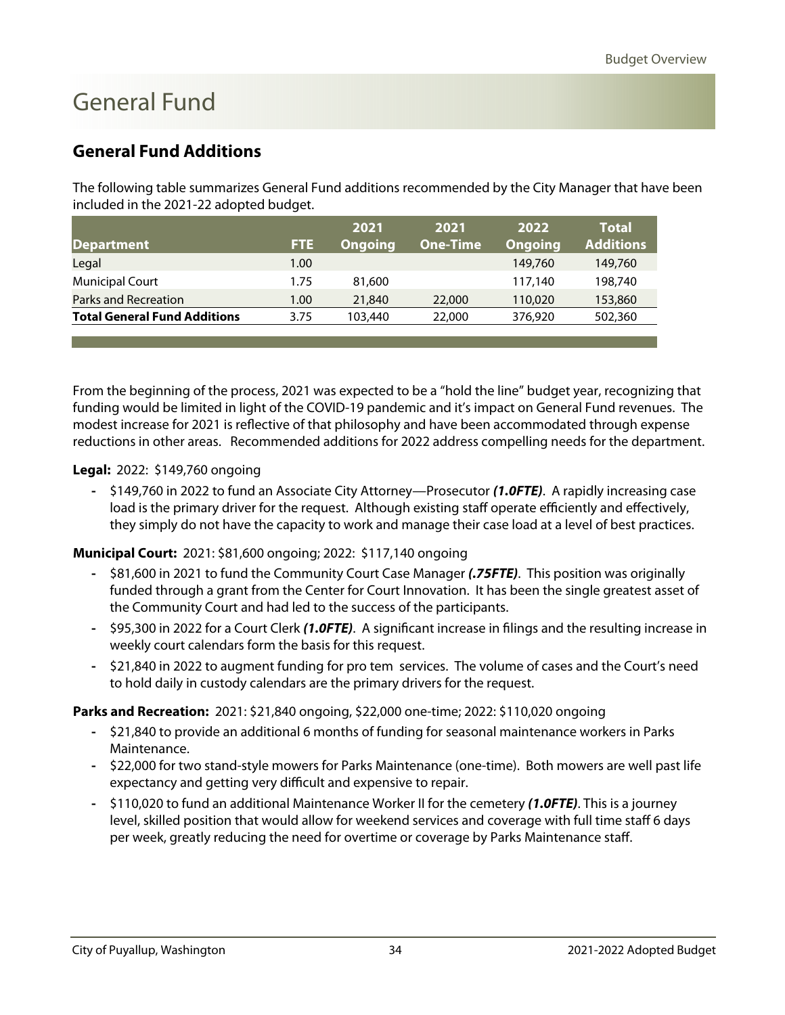#### <span id="page-20-0"></span>**General Fund Additions**

The following table summarizes General Fund additions recommended by the City Manager that have been included in the 2021-22 adopted budget.

|                                     |      | 2021           | 2021            | 2022           | <b>Total</b>     |
|-------------------------------------|------|----------------|-----------------|----------------|------------------|
| <b>Department</b>                   | FTE  | <b>Ongoing</b> | <b>One-Time</b> | <b>Ongoing</b> | <b>Additions</b> |
| Legal                               | 1.00 |                |                 | 149,760        | 149,760          |
| <b>Municipal Court</b>              | 1.75 | 81,600         |                 | 117.140        | 198,740          |
| Parks and Recreation                | 1.00 | 21,840         | 22,000          | 110,020        | 153,860          |
| <b>Total General Fund Additions</b> | 3.75 | 103,440        | 22,000          | 376,920        | 502,360          |
|                                     |      |                |                 |                |                  |

From the beginning of the process, 2021 was expected to be a "hold the line" budget year, recognizing that funding would be limited in light of the COVID-19 pandemic and it's impact on General Fund revenues. The modest increase for 2021 is reflective of that philosophy and have been accommodated through expense reductions in other areas. Recommended additions for 2022 address compelling needs for the department.

#### **Legal:** 2022: \$149,760 ongoing

**-** \$149,760 in 2022 to fund an Associate City Attorney—Prosecutor **(1.0FTE)**. A rapidly increasing case load is the primary driver for the request. Although existing staff operate efficiently and effectively, they simply do not have the capacity to work and manage their case load at a level of best practices.

#### **Municipal Court:** 2021: \$81,600 ongoing; 2022: \$117,140 ongoing

- **-** \$81,600 in 2021 to fund the Community Court Case Manager **(.75FTE)**. This position was originally funded through a grant from the Center for Court Innovation. It has been the single greatest asset of the Community Court and had led to the success of the participants.
- **-** \$95,300 in 2022 for a Court Clerk **(1.0FTE)**. A significant increase in filings and the resulting increase in weekly court calendars form the basis for this request.
- **-** \$21,840 in 2022 to augment funding for pro tem services. The volume of cases and the Court's need to hold daily in custody calendars are the primary drivers for the request.

#### **Parks and Recreation:** 2021: \$21,840 ongoing, \$22,000 one-time; 2022: \$110,020 ongoing

- **-** \$21,840 to provide an additional 6 months of funding for seasonal maintenance workers in Parks Maintenance.
- **-** \$22,000 for two stand-style mowers for Parks Maintenance (one-time). Both mowers are well past life expectancy and getting very difficult and expensive to repair.
- **-** \$110,020 to fund an additional Maintenance Worker II for the cemetery **(1.0FTE)**. This is a journey level, skilled position that would allow for weekend services and coverage with full time staff 6 days per week, greatly reducing the need for overtime or coverage by Parks Maintenance staff.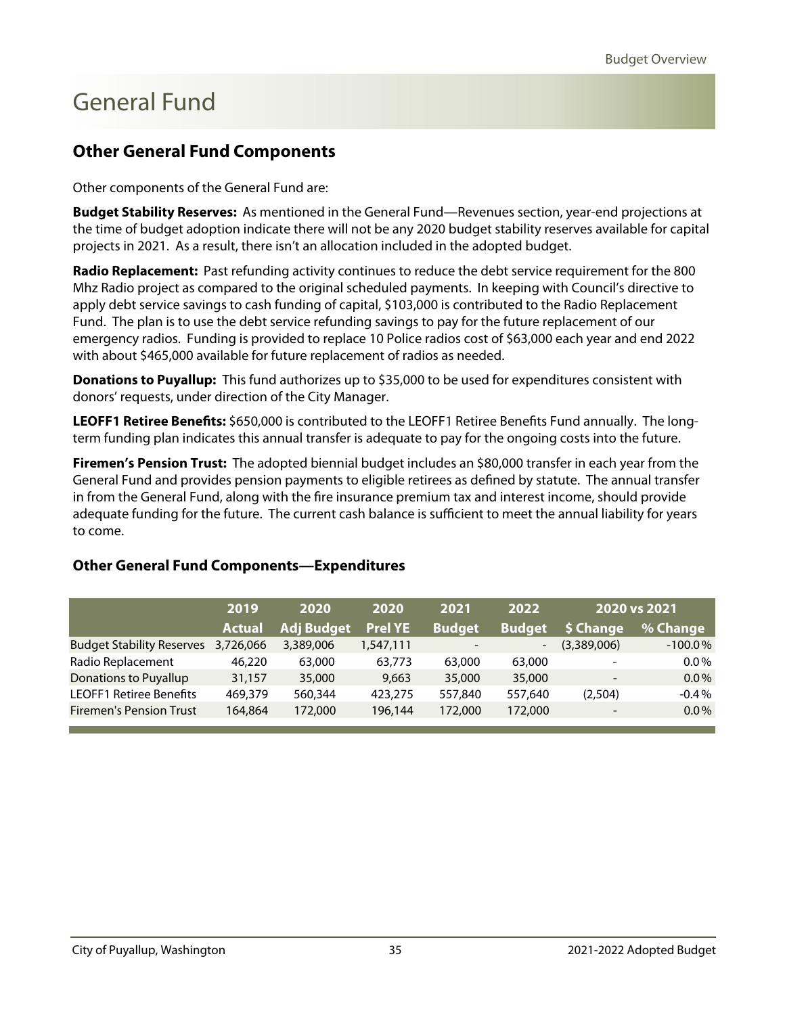#### <span id="page-21-0"></span>**Other General Fund Components**

Other components of the General Fund are:

**Budget Stability Reserves:** As mentioned in the General Fund—Revenues section, year-end projections at the time of budget adoption indicate there will not be any 2020 budget stability reserves available for capital projects in 2021. As a result, there isn't an allocation included in the adopted budget.

**Radio Replacement:** Past refunding activity continues to reduce the debt service requirement for the 800 Mhz Radio project as compared to the original scheduled payments. In keeping with Council's directive to apply debt service savings to cash funding of capital, \$103,000 is contributed to the Radio Replacement Fund. The plan is to use the debt service refunding savings to pay for the future replacement of our emergency radios. Funding is provided to replace 10 Police radios cost of \$63,000 each year and end 2022 with about \$465,000 available for future replacement of radios as needed.

**Donations to Puyallup:** This fund authorizes up to \$35,000 to be used for expenditures consistent with donors' requests, under direction of the City Manager.

**LEOFF1 Retiree Benefits:** \$650,000 is contributed to the LEOFF1 Retiree Benefits Fund annually. The longterm funding plan indicates this annual transfer is adequate to pay for the ongoing costs into the future.

**Firemen's Pension Trust:** The adopted biennial budget includes an \$80,000 transfer in each year from the General Fund and provides pension payments to eligible retirees as defined by statute. The annual transfer in from the General Fund, along with the fire insurance premium tax and interest income, should provide adequate funding for the future. The current cash balance is sufficient to meet the annual liability for years to come.

|                                  | 2019          | 2020              | 2020           | 2021                     | 2022          |             | 2020 vs 2021 |
|----------------------------------|---------------|-------------------|----------------|--------------------------|---------------|-------------|--------------|
|                                  | <b>Actual</b> | <b>Adj Budget</b> | <b>Prel YE</b> | <b>Budget</b>            | <b>Budget</b> | \$ Change   | % Change     |
| <b>Budget Stability Reserves</b> | 3,726,066     | 3,389,006         | 1,547,111      | $\overline{\phantom{a}}$ | -             | (3,389,006) | $-100.0\%$   |
| Radio Replacement                | 46,220        | 63,000            | 63,773         | 63,000                   | 63,000        |             | $0.0\%$      |
| <b>Donations to Puyallup</b>     | 31,157        | 35,000            | 9,663          | 35,000                   | 35,000        |             | $0.0\%$      |
| <b>LEOFF1 Retiree Benefits</b>   | 469,379       | 560,344           | 423,275        | 557,840                  | 557,640       | (2,504)     | $-0.4%$      |
| <b>Firemen's Pension Trust</b>   | 164.864       | 172,000           | 196,144        | 172,000                  | 172,000       |             | $0.0\%$      |

#### **Other General Fund Components—Expenditures**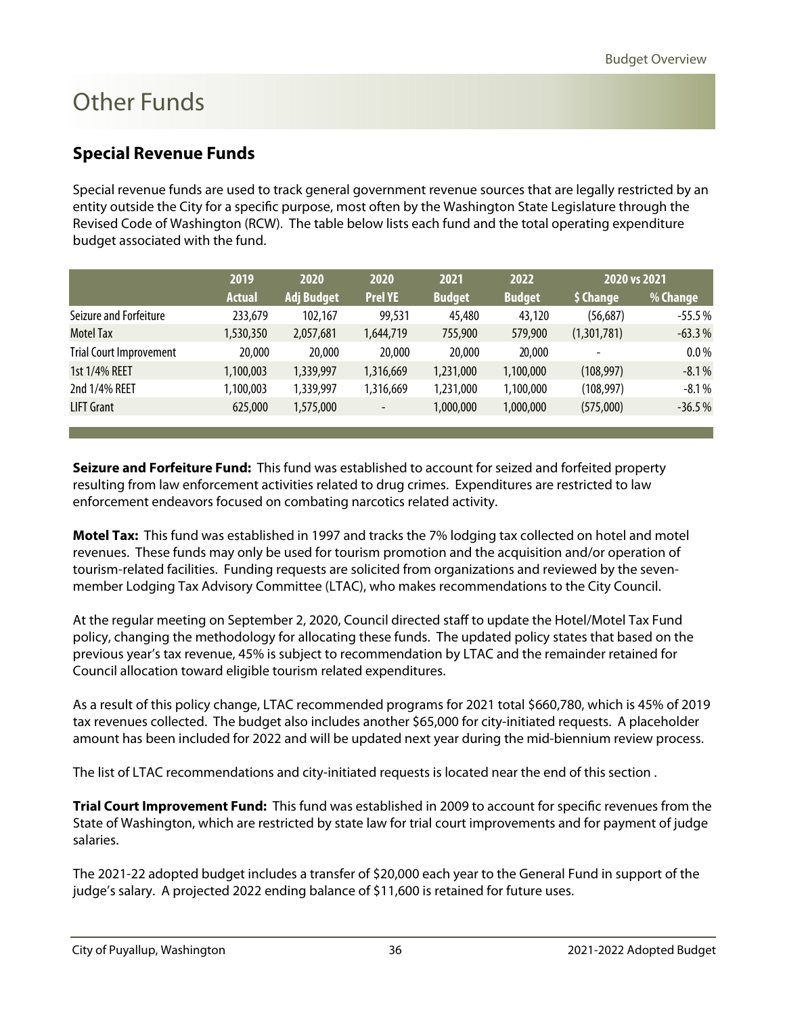#### <span id="page-22-0"></span>**Special Revenue Funds**

Special revenue funds are used to track general government revenue sources that are legally restricted by an entity outside the City for a specific purpose, most often by the Washington State Legislature through the Revised Code of Washington (RCW). The table below lists each fund and the total operating expenditure budget associated with the fund.

|                                | 2019          | 2020              | 2020                     | 2021          | 2022          | 2020 vs 2021    |          |
|--------------------------------|---------------|-------------------|--------------------------|---------------|---------------|-----------------|----------|
|                                | <b>Actual</b> | <b>Adj Budget</b> | <b>Prel YE</b>           | <b>Budget</b> | <b>Budget</b> | <b>S</b> Change | % Change |
| Seizure and Forfeiture         | 233,679       | 102,167           | 99,531                   | 45,480        | 43,120        | (56, 687)       | $-55.5%$ |
| <b>Motel Tax</b>               | 1,530,350     | 2,057,681         | 1,644,719                | 755,900       | 579,900       | (1,301,781)     | $-63.3%$ |
| <b>Trial Court Improvement</b> | 20,000        | 20,000            | 20,000                   | 20,000        | 20,000        |                 | $0.0\%$  |
| 1st 1/4% REET                  | 1,100,003     | 1,339,997         | 1,316,669                | 1,231,000     | 1,100,000     | (108, 997)      | $-8.1%$  |
| 2nd 1/4% REET                  | 1,100,003     | 1,339,997         | 1,316,669                | 1,231,000     | 1,100,000     | (108, 997)      | $-8.1\%$ |
| <b>LIFT Grant</b>              | 625,000       | 1,575,000         | $\overline{\phantom{a}}$ | 1,000,000     | 1,000,000     | (575,000)       | $-36.5%$ |

**Seizure and Forfeiture Fund:** This fund was established to account for seized and forfeited property resulting from law enforcement activities related to drug crimes. Expenditures are restricted to law enforcement endeavors focused on combating narcotics related activity.

**Motel Tax:** This fund was established in 1997 and tracks the 7% lodging tax collected on hotel and motel revenues. These funds may only be used for tourism promotion and the acquisition and/or operation of tourism-related facilities. Funding requests are solicited from organizations and reviewed by the sevenmember Lodging Tax Advisory Committee (LTAC), who makes recommendations to the City Council.

At the regular meeting on September 2, 2020, Council directed staff to update the Hotel/Motel Tax Fund policy, changing the methodology for allocating these funds. The updated policy states that based on the previous year's tax revenue, 45% is subject to recommendation by LTAC and the remainder retained for Council allocation toward eligible tourism related expenditures.

As a result of this policy change, LTAC recommended programs for 2021 total \$660,780, which is 45% of 2019 tax revenues collected. The budget also includes another \$65,000 for city-initiated requests. A placeholder amount has been included for 2022 and will be updated next year during the mid-biennium review process.

The list of LTAC recommendations and city-initiated requests is located near the end of this section .

**Trial Court Improvement Fund:** This fund was established in 2009 to account for specific revenues from the State of Washington, which are restricted by state law for trial court improvements and for payment of judge salaries.

The 2021-22 adopted budget includes a transfer of \$20,000 each year to the General Fund in support of the judge's salary. A projected 2022 ending balance of \$11,600 is retained for future uses.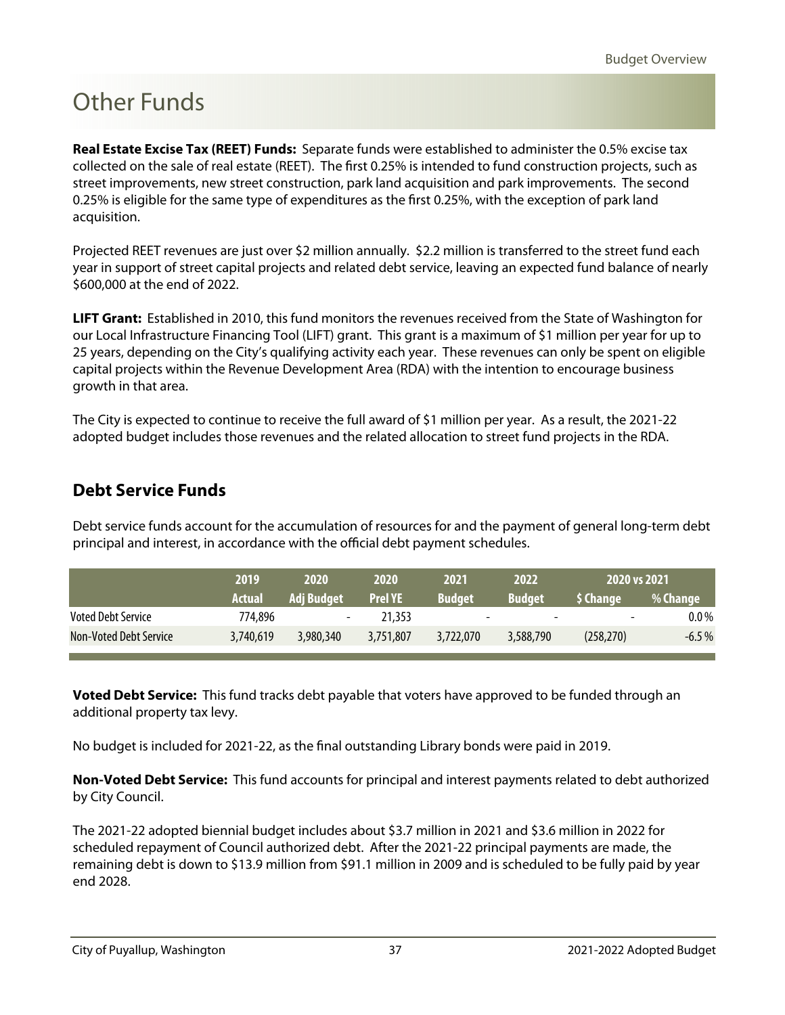<span id="page-23-0"></span>**Real Estate Excise Tax (REET) Funds:** Separate funds were established to administer the 0.5% excise tax collected on the sale of real estate (REET). The first 0.25% is intended to fund construction projects, such as street improvements, new street construction, park land acquisition and park improvements. The second 0.25% is eligible for the same type of expenditures as the first 0.25%, with the exception of park land acquisition.

Projected REET revenues are just over \$2 million annually. \$2.2 million is transferred to the street fund each year in support of street capital projects and related debt service, leaving an expected fund balance of nearly \$600,000 at the end of 2022.

**LIFT Grant:** Established in 2010, this fund monitors the revenues received from the State of Washington for our Local Infrastructure Financing Tool (LIFT) grant. This grant is a maximum of \$1 million per year for up to 25 years, depending on the City's qualifying activity each year. These revenues can only be spent on eligible capital projects within the Revenue Development Area (RDA) with the intention to encourage business growth in that area.

The City is expected to continue to receive the full award of \$1 million per year. As a result, the 2021-22 adopted budget includes those revenues and the related allocation to street fund projects in the RDA.

#### **Debt Service Funds**

Debt service funds account for the accumulation of resources for and the payment of general long-term debt principal and interest, in accordance with the official debt payment schedules.

|                               | 2019          | 2020       | 2020           | 2021                     | 2022                     | 2020 vs 2021             |          |
|-------------------------------|---------------|------------|----------------|--------------------------|--------------------------|--------------------------|----------|
|                               | <b>Actual</b> | Adj Budget | <b>Prel YE</b> | <b>Budget</b>            | <b>Budget</b>            | \$ Change                | % Change |
| <b>Voted Debt Service</b>     | 774,896       | -          | 21,353         | $\overline{\phantom{a}}$ | $\overline{\phantom{a}}$ | $\overline{\phantom{0}}$ | $0.0\%$  |
| <b>Non-Voted Debt Service</b> | 3,740,619     | 3,980,340  | 3,751,807      | 3.722.070                | 3,588,790                | (258, 270)               | $-6.5\%$ |

**Voted Debt Service:** This fund tracks debt payable that voters have approved to be funded through an additional property tax levy.

No budget is included for 2021-22, as the final outstanding Library bonds were paid in 2019.

**Non-Voted Debt Service:** This fund accounts for principal and interest payments related to debt authorized by City Council.

The 2021-22 adopted biennial budget includes about \$3.7 million in 2021 and \$3.6 million in 2022 for scheduled repayment of Council authorized debt. After the 2021-22 principal payments are made, the remaining debt is down to \$13.9 million from \$91.1 million in 2009 and is scheduled to be fully paid by year end 2028.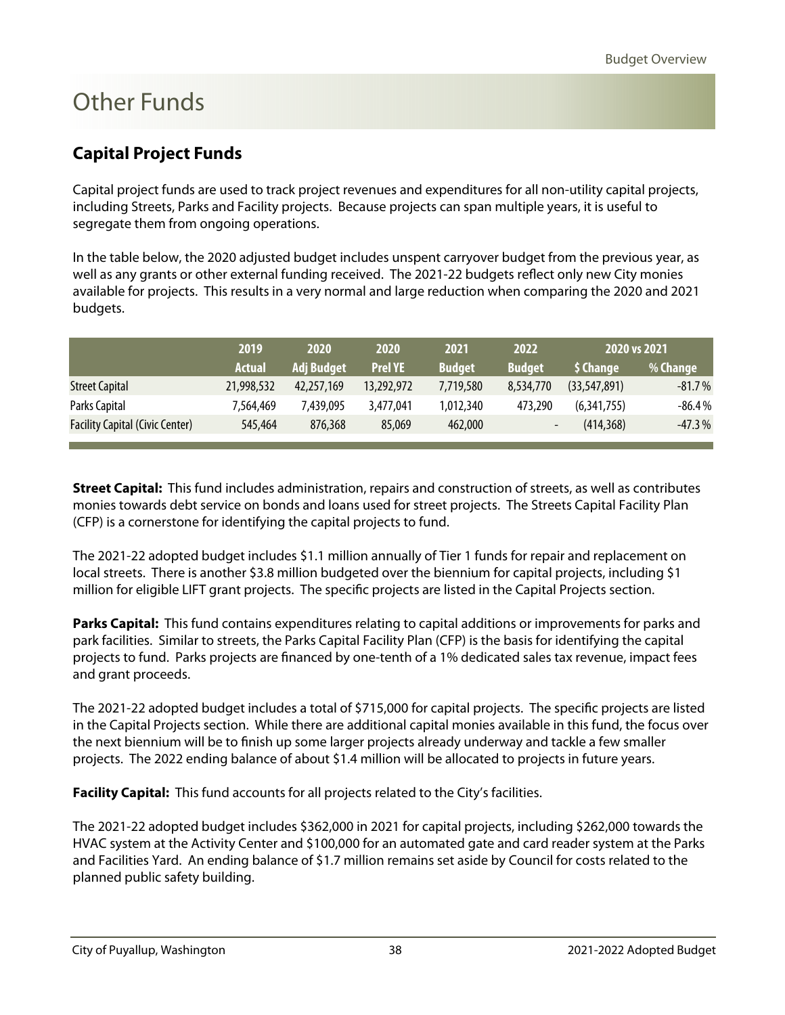### <span id="page-24-0"></span>**Capital Project Funds**

Capital project funds are used to track project revenues and expenditures for all non-utility capital projects, including Streets, Parks and Facility projects. Because projects can span multiple years, it is useful to segregate them from ongoing operations.

In the table below, the 2020 adjusted budget includes unspent carryover budget from the previous year, as well as any grants or other external funding received. The 2021-22 budgets reflect only new City monies available for projects. This results in a very normal and large reduction when comparing the 2020 and 2021 budgets.

|                                        | 2019          | 2020              | 2020           | 2021          | 2022          | 2020 vs 2021   |          |
|----------------------------------------|---------------|-------------------|----------------|---------------|---------------|----------------|----------|
|                                        | <b>Actual</b> | <b>Adj Budget</b> | <b>Prel YE</b> | <b>Budget</b> | <b>Budget</b> | \$ Change      | % Change |
| <b>Street Capital</b>                  | 21,998,532    | 42,257,169        | 13,292,972     | 7,719,580     | 8,534,770     | (33, 547, 891) | $-81.7%$ |
| Parks Capital                          | 7.564.469     | 7.439.095         | 3,477,041      | 1,012,340     | 473,290       | (6,341,755)    | $-86.4%$ |
| <b>Facility Capital (Civic Center)</b> | 545,464       | 876,368           | 85,069         | 462,000       | -             | (414, 368)     | $-47.3%$ |

**Street Capital:** This fund includes administration, repairs and construction of streets, as well as contributes monies towards debt service on bonds and loans used for street projects. The Streets Capital Facility Plan (CFP) is a cornerstone for identifying the capital projects to fund.

The 2021-22 adopted budget includes \$1.1 million annually of Tier 1 funds for repair and replacement on local streets. There is another \$3.8 million budgeted over the biennium for capital projects, including \$1 million for eligible LIFT grant projects. The specific projects are listed in the Capital Projects section.

**Parks Capital:** This fund contains expenditures relating to capital additions or improvements for parks and park facilities. Similar to streets, the Parks Capital Facility Plan (CFP) is the basis for identifying the capital projects to fund. Parks projects are financed by one-tenth of a 1% dedicated sales tax revenue, impact fees and grant proceeds.

The 2021-22 adopted budget includes a total of \$715,000 for capital projects. The specific projects are listed in the Capital Projects section. While there are additional capital monies available in this fund, the focus over the next biennium will be to finish up some larger projects already underway and tackle a few smaller projects. The 2022 ending balance of about \$1.4 million will be allocated to projects in future years.

**Facility Capital:** This fund accounts for all projects related to the City's facilities.

The 2021-22 adopted budget includes \$362,000 in 2021 for capital projects, including \$262,000 towards the HVAC system at the Activity Center and \$100,000 for an automated gate and card reader system at the Parks and Facilities Yard. An ending balance of \$1.7 million remains set aside by Council for costs related to the planned public safety building.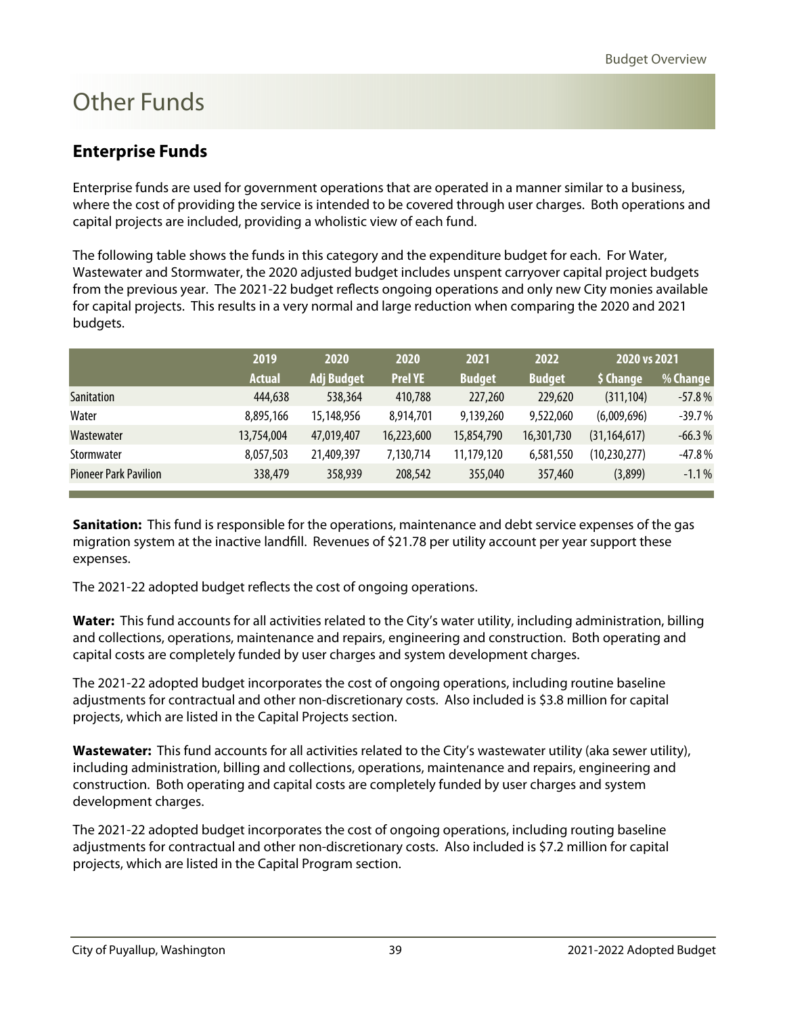#### <span id="page-25-0"></span>**Enterprise Funds**

Enterprise funds are used for government operations that are operated in a manner similar to a business, where the cost of providing the service is intended to be covered through user charges. Both operations and capital projects are included, providing a wholistic view of each fund.

The following table shows the funds in this category and the expenditure budget for each. For Water, Wastewater and Stormwater, the 2020 adjusted budget includes unspent carryover capital project budgets from the previous year. The 2021-22 budget reflects ongoing operations and only new City monies available for capital projects. This results in a very normal and large reduction when comparing the 2020 and 2021 budgets.

|                              | 2019          | 2020              | 2020           | 2021          | 2022          | 2020 vs 2021   |          |
|------------------------------|---------------|-------------------|----------------|---------------|---------------|----------------|----------|
|                              | <b>Actual</b> | <b>Adj Budget</b> | <b>Prel YE</b> | <b>Budget</b> | <b>Budget</b> | \$ Change      | % Change |
| Sanitation                   | 444,638       | 538,364           | 410,788        | 227,260       | 229,620       | (311, 104)     | $-57.8%$ |
| Water                        | 8,895,166     | 15,148,956        | 8,914,701      | 9,139,260     | 9,522,060     | (6,009,696)    | $-39.7%$ |
| Wastewater                   | 13,754,004    | 47,019,407        | 16,223,600     | 15,854,790    | 16,301,730    | (31, 164, 617) | $-66.3%$ |
| Stormwater                   | 8,057,503     | 21,409,397        | 7,130,714      | 11,179,120    | 6,581,550     | (10, 230, 277) | $-47.8%$ |
| <b>Pioneer Park Pavilion</b> | 338,479       | 358,939           | 208,542        | 355,040       | 357,460       | (3,899)        | $-1.1\%$ |

**Sanitation:** This fund is responsible for the operations, maintenance and debt service expenses of the gas migration system at the inactive landfill. Revenues of \$21.78 per utility account per year support these expenses.

The 2021-22 adopted budget reflects the cost of ongoing operations.

**Water:** This fund accounts for all activities related to the City's water utility, including administration, billing and collections, operations, maintenance and repairs, engineering and construction. Both operating and capital costs are completely funded by user charges and system development charges.

The 2021-22 adopted budget incorporates the cost of ongoing operations, including routine baseline adjustments for contractual and other non-discretionary costs. Also included is \$3.8 million for capital projects, which are listed in the Capital Projects section.

**Wastewater:** This fund accounts for all activities related to the City's wastewater utility (aka sewer utility), including administration, billing and collections, operations, maintenance and repairs, engineering and construction. Both operating and capital costs are completely funded by user charges and system development charges.

The 2021-22 adopted budget incorporates the cost of ongoing operations, including routing baseline adjustments for contractual and other non-discretionary costs. Also included is \$7.2 million for capital projects, which are listed in the Capital Program section.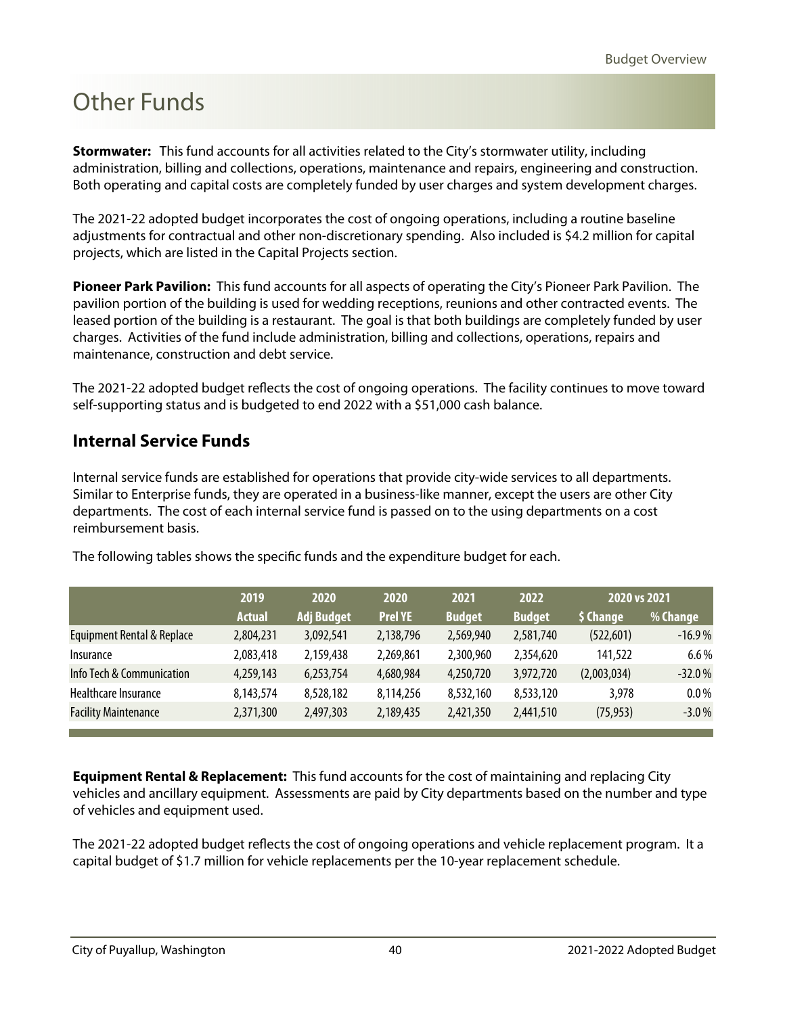<span id="page-26-0"></span>**Stormwater:** This fund accounts for all activities related to the City's stormwater utility, including administration, billing and collections, operations, maintenance and repairs, engineering and construction. Both operating and capital costs are completely funded by user charges and system development charges.

The 2021-22 adopted budget incorporates the cost of ongoing operations, including a routine baseline adjustments for contractual and other non-discretionary spending. Also included is \$4.2 million for capital projects, which are listed in the Capital Projects section.

**Pioneer Park Pavilion:** This fund accounts for all aspects of operating the City's Pioneer Park Pavilion. The pavilion portion of the building is used for wedding receptions, reunions and other contracted events. The leased portion of the building is a restaurant. The goal is that both buildings are completely funded by user charges. Activities of the fund include administration, billing and collections, operations, repairs and maintenance, construction and debt service.

The 2021-22 adopted budget reflects the cost of ongoing operations. The facility continues to move toward self-supporting status and is budgeted to end 2022 with a \$51,000 cash balance.

#### **Internal Service Funds**

Internal service funds are established for operations that provide city-wide services to all departments. Similar to Enterprise funds, they are operated in a business-like manner, except the users are other City departments. The cost of each internal service fund is passed on to the using departments on a cost reimbursement basis.

|                             | 2019          | 2020              | 2020           | 2021          | 2022          | 2020 vs 2021 |          |
|-----------------------------|---------------|-------------------|----------------|---------------|---------------|--------------|----------|
|                             | <b>Actual</b> | <b>Adj Budget</b> | <b>Prel YE</b> | <b>Budget</b> | <b>Budget</b> | \$ Change    | % Change |
| Equipment Rental & Replace  | 2,804,231     | 3,092,541         | 2,138,796      | 2,569,940     | 2,581,740     | (522, 601)   | $-16.9%$ |
| <i>Insurance</i>            | 2,083,418     | 2,159,438         | 2,269,861      | 2,300,960     | 2,354,620     | 141,522      | 6.6%     |
| Info Tech & Communication   | 4,259,143     | 6,253,754         | 4,680,984      | 4,250,720     | 3,972,720     | (2,003,034)  | $-32.0%$ |
| Healthcare Insurance        | 8,143,574     | 8,528,182         | 8,114,256      | 8,532,160     | 8,533,120     | 3,978        | $0.0\%$  |
| <b>Facility Maintenance</b> | 2,371,300     | 2,497,303         | 2,189,435      | 2,421,350     | 2,441,510     | (75, 953)    | $-3.0%$  |

The following tables shows the specific funds and the expenditure budget for each.

**Equipment Rental & Replacement:** This fund accounts for the cost of maintaining and replacing City vehicles and ancillary equipment. Assessments are paid by City departments based on the number and type of vehicles and equipment used.

The 2021-22 adopted budget reflects the cost of ongoing operations and vehicle replacement program. It a capital budget of \$1.7 million for vehicle replacements per the 10-year replacement schedule.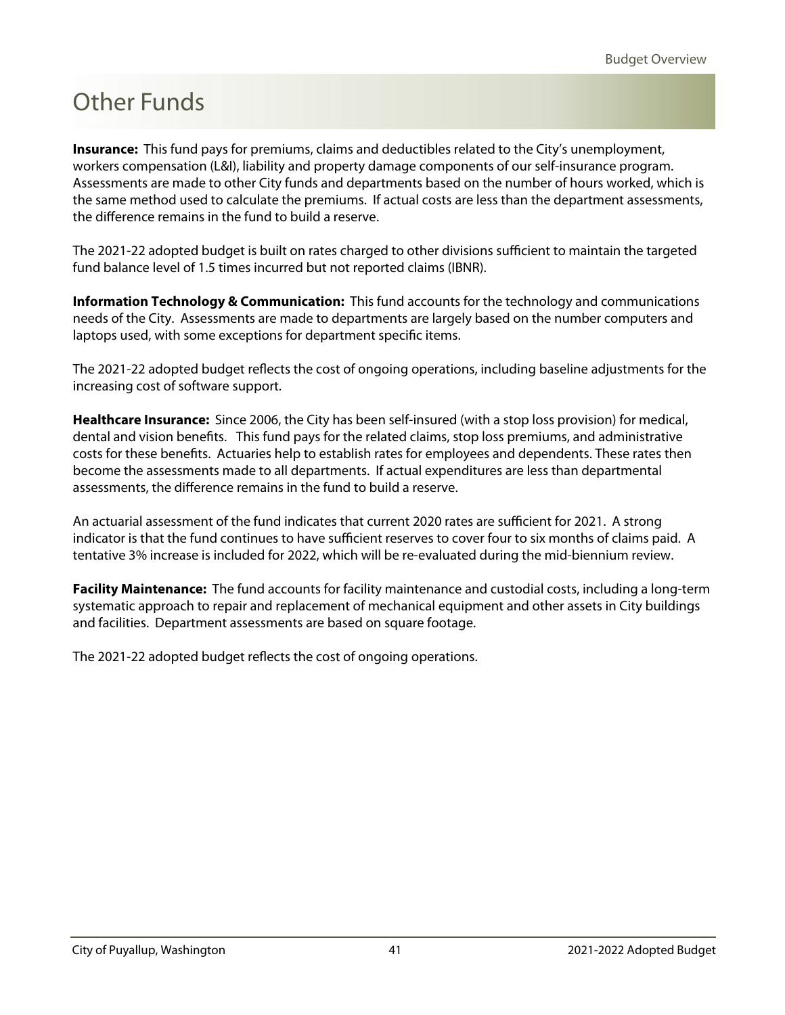**Insurance:** This fund pays for premiums, claims and deductibles related to the City's unemployment, workers compensation (L&I), liability and property damage components of our self-insurance program. Assessments are made to other City funds and departments based on the number of hours worked, which is the same method used to calculate the premiums. If actual costs are less than the department assessments, the difference remains in the fund to build a reserve.

The 2021-22 adopted budget is built on rates charged to other divisions sufficient to maintain the targeted fund balance level of 1.5 times incurred but not reported claims (IBNR).

**Information Technology & Communication:** This fund accounts for the technology and communications needs of the City. Assessments are made to departments are largely based on the number computers and laptops used, with some exceptions for department specific items.

The 2021-22 adopted budget reflects the cost of ongoing operations, including baseline adjustments for the increasing cost of software support.

**Healthcare Insurance:** Since 2006, the City has been self-insured (with a stop loss provision) for medical, dental and vision benefits. This fund pays for the related claims, stop loss premiums, and administrative costs for these benefits. Actuaries help to establish rates for employees and dependents. These rates then become the assessments made to all departments. If actual expenditures are less than departmental assessments, the difference remains in the fund to build a reserve.

An actuarial assessment of the fund indicates that current 2020 rates are sufficient for 2021. A strong indicator is that the fund continues to have sufficient reserves to cover four to six months of claims paid. A tentative 3% increase is included for 2022, which will be re-evaluated during the mid-biennium review.

**Facility Maintenance:** The fund accounts for facility maintenance and custodial costs, including a long-term systematic approach to repair and replacement of mechanical equipment and other assets in City buildings and facilities. Department assessments are based on square footage.

The 2021-22 adopted budget reflects the cost of ongoing operations.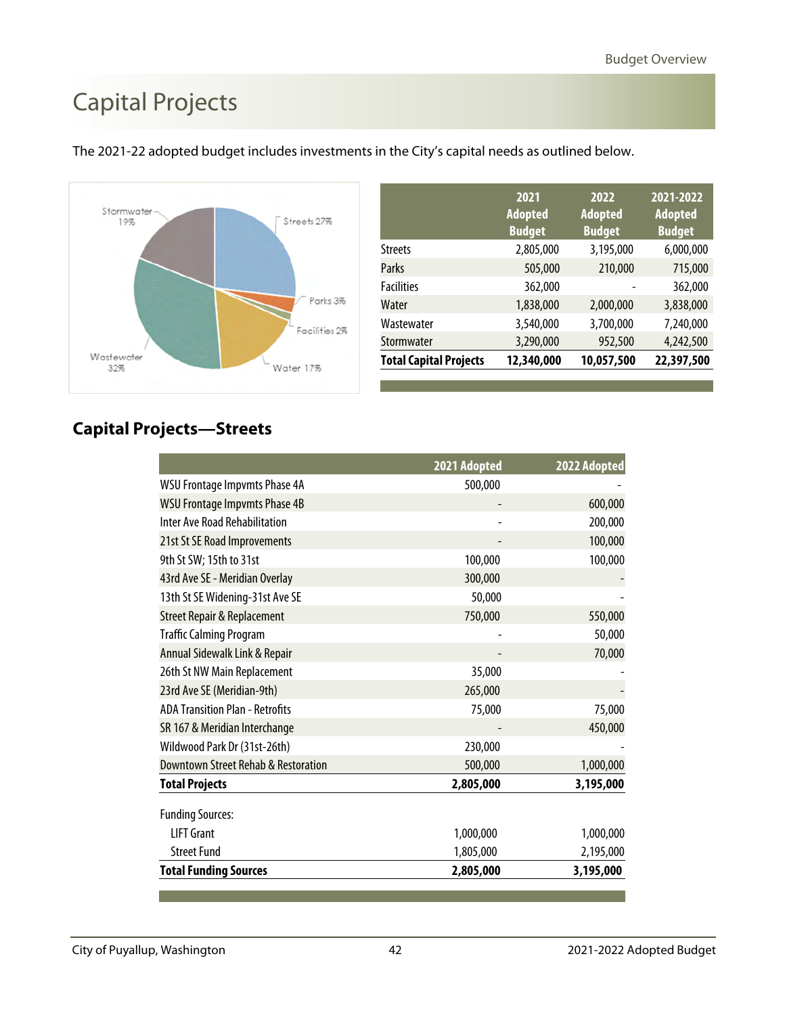# <span id="page-28-0"></span>Capital Projects



|                               | 2021<br><b>Adopted</b><br><b>Budget</b> | 2022<br><b>Adopted</b><br><b>Budget</b> | 2021-2022<br><b>Adopted</b><br><b>Budget</b> |
|-------------------------------|-----------------------------------------|-----------------------------------------|----------------------------------------------|
| <b>Streets</b>                | 2,805,000                               | 3,195,000                               | 6,000,000                                    |
| Parks                         | 505,000                                 | 210,000                                 | 715,000                                      |
| <b>Facilities</b>             | 362,000                                 |                                         | 362,000                                      |
| Water                         | 1,838,000                               | 2,000,000                               | 3,838,000                                    |
| Wastewater                    | 3,540,000                               | 3,700,000                               | 7,240,000                                    |
| Stormwater                    | 3,290,000                               | 952,500                                 | 4,242,500                                    |
| <b>Total Capital Projects</b> | 12,340,000                              | 10,057,500                              | 22,397,500                                   |

The 2021-22 adopted budget includes investments in the City's capital needs as outlined below.

#### **Capital Projects—Streets**

|                                        | 2021 Adopted | 2022 Adopted |
|----------------------------------------|--------------|--------------|
| <b>WSU Frontage Impvmts Phase 4A</b>   | 500,000      |              |
| <b>WSU Frontage Impvmts Phase 4B</b>   |              | 600,000      |
| <b>Inter Ave Road Rehabilitation</b>   |              | 200,000      |
| 21st St SE Road Improvements           |              | 100,000      |
| 9th St SW; 15th to 31st                | 100,000      | 100,000      |
| 43rd Ave SE - Meridian Overlay         | 300,000      |              |
| 13th St SE Widening-31st Ave SE        | 50,000       |              |
| <b>Street Repair &amp; Replacement</b> | 750,000      | 550,000      |
| <b>Traffic Calming Program</b>         |              | 50,000       |
| Annual Sidewalk Link & Repair          |              | 70,000       |
| 26th St NW Main Replacement            | 35,000       |              |
| 23rd Ave SE (Meridian-9th)             | 265,000      |              |
| <b>ADA Transition Plan - Retrofits</b> | 75,000       | 75,000       |
| SR 167 & Meridian Interchange          |              | 450,000      |
| Wildwood Park Dr (31st-26th)           | 230,000      |              |
| Downtown Street Rehab & Restoration    | 500,000      | 1,000,000    |
| <b>Total Projects</b>                  | 2,805,000    | 3,195,000    |
| <b>Funding Sources:</b>                |              |              |
| <b>LIFT Grant</b>                      | 1,000,000    | 1,000,000    |
| <b>Street Fund</b>                     | 1,805,000    | 2,195,000    |
| <b>Total Funding Sources</b>           | 2,805,000    | 3,195,000    |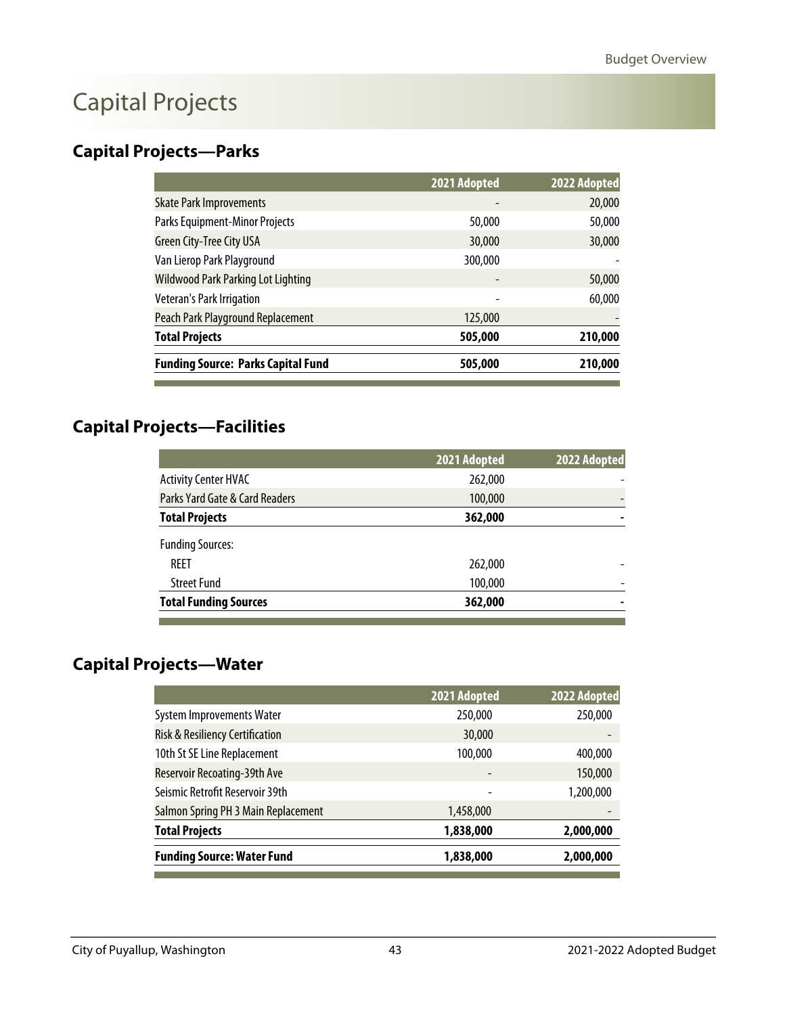## Capital Projects

### **Capital Projects—Parks**

|                                           | 2021 Adopted | 2022 Adopted |
|-------------------------------------------|--------------|--------------|
| <b>Skate Park Improvements</b>            | -            | 20,000       |
| Parks Equipment-Minor Projects            | 50,000       | 50,000       |
| <b>Green City-Tree City USA</b>           | 30,000       | 30,000       |
| Van Lierop Park Playground                | 300,000      |              |
| <b>Wildwood Park Parking Lot Lighting</b> |              | 50,000       |
| Veteran's Park Irrigation                 | -            | 60,000       |
| Peach Park Playground Replacement         | 125,000      |              |
| <b>Total Projects</b>                     | 505,000      | 210,000      |
| <b>Funding Source: Parks Capital Fund</b> | 505,000      | 210,000      |

### **Capital Projects—Facilities**

 $\overline{a}$ 

|                                | 2021 Adopted | 2022 Adopted |
|--------------------------------|--------------|--------------|
| <b>Activity Center HVAC</b>    | 262,000      |              |
| Parks Yard Gate & Card Readers | 100,000      |              |
| <b>Total Projects</b>          | 362,000      |              |
| <b>Funding Sources:</b>        |              |              |
| REET                           | 262,000      |              |
| <b>Street Fund</b>             | 100,000      |              |
| <b>Total Funding Sources</b>   | 362,000      |              |

### **Capital Projects—Water**

|                                     | 2021 Adopted | 2022 Adopted |
|-------------------------------------|--------------|--------------|
| <b>System Improvements Water</b>    | 250,000      | 250,000      |
| Risk & Resiliency Certification     | 30,000       |              |
| 10th St SE Line Replacement         | 100,000      | 400,000      |
| Reservoir Recoating-39th Ave        |              | 150,000      |
| Seismic Retrofit Reservoir 39th     |              | 1,200,000    |
| Salmon Spring PH 3 Main Replacement | 1,458,000    |              |
| <b>Total Projects</b>               | 1,838,000    | 2,000,000    |
| <b>Funding Source: Water Fund</b>   | 1,838,000    | 2,000,000    |
|                                     |              |              |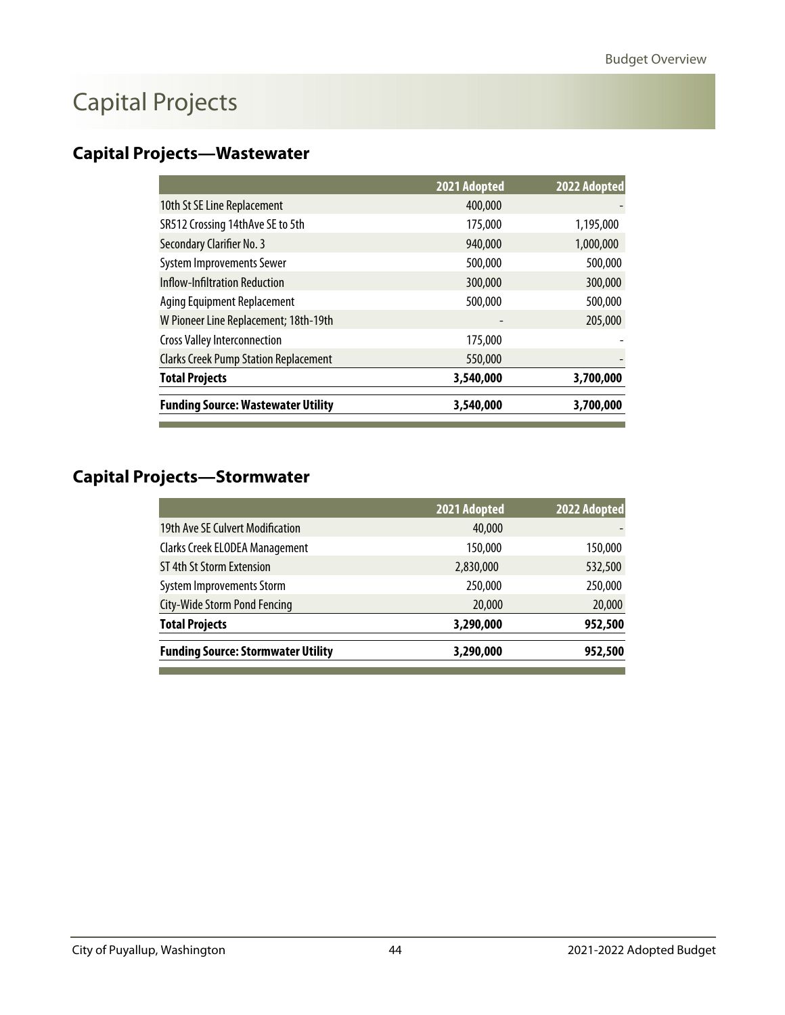# Capital Projects

### **Capital Projects—Wastewater**

|                                              | 2021 Adopted | 2022 Adopted |
|----------------------------------------------|--------------|--------------|
| 10th St SE Line Replacement                  | 400,000      |              |
| SR512 Crossing 14thAve SE to 5th             | 175,000      | 1,195,000    |
| Secondary Clarifier No. 3                    | 940,000      | 1,000,000    |
| <b>System Improvements Sewer</b>             | 500,000      | 500,000      |
| <b>Inflow-Infiltration Reduction</b>         | 300,000      | 300,000      |
| Aging Equipment Replacement                  | 500,000      | 500,000      |
| W Pioneer Line Replacement; 18th-19th        |              | 205,000      |
| <b>Cross Valley Interconnection</b>          | 175,000      |              |
| <b>Clarks Creek Pump Station Replacement</b> | 550,000      |              |
| <b>Total Projects</b>                        | 3,540,000    | 3,700,000    |
| <b>Funding Source: Wastewater Utility</b>    | 3,540,000    | 3,700,000    |

### **Capital Projects—Stormwater**

l

|                                           | 2021 Adopted | 2022 Adopted |
|-------------------------------------------|--------------|--------------|
| 19th Ave SE Culvert Modification          | 40,000       |              |
| Clarks Creek ELODEA Management            | 150,000      | 150,000      |
| ST 4th St Storm Extension                 | 2,830,000    | 532,500      |
| System Improvements Storm                 | 250,000      | 250,000      |
| <b>City-Wide Storm Pond Fencing</b>       | 20,000       | 20,000       |
| <b>Total Projects</b>                     | 3,290,000    | 952,500      |
| <b>Funding Source: Stormwater Utility</b> | 3,290,000    | 952,500      |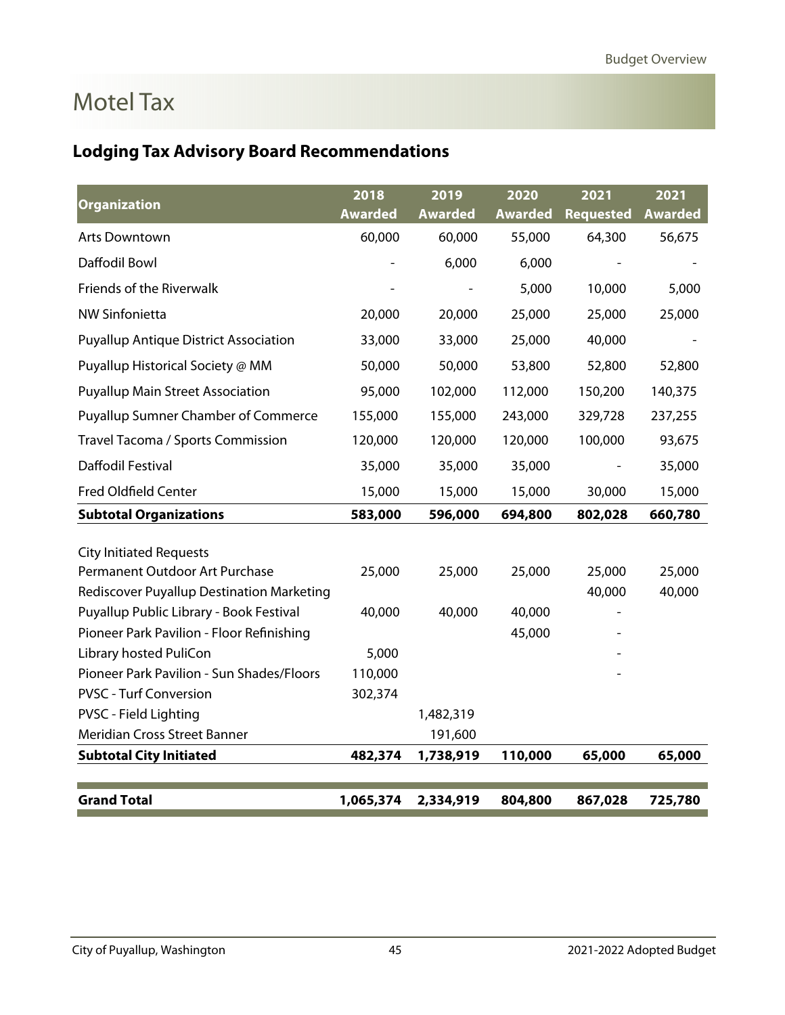## <span id="page-31-0"></span>Motel Tax

### **Lodging Tax Advisory Board Recommendations**

| <b>Organization</b>                          | 2018           | 2019           | 2020    | 2021             | 2021           |
|----------------------------------------------|----------------|----------------|---------|------------------|----------------|
|                                              | <b>Awarded</b> | <b>Awarded</b> | Awarded | <b>Requested</b> | <b>Awarded</b> |
| <b>Arts Downtown</b>                         | 60,000         | 60,000         | 55,000  | 64,300           | 56,675         |
| Daffodil Bowl                                |                | 6,000          | 6,000   |                  |                |
| Friends of the Riverwalk                     |                |                | 5,000   | 10,000           | 5,000          |
| <b>NW Sinfonietta</b>                        | 20,000         | 20,000         | 25,000  | 25,000           | 25,000         |
| <b>Puyallup Antique District Association</b> | 33,000         | 33,000         | 25,000  | 40,000           |                |
| Puyallup Historical Society @ MM             | 50,000         | 50,000         | 53,800  | 52,800           | 52,800         |
| <b>Puyallup Main Street Association</b>      | 95,000         | 102,000        | 112,000 | 150,200          | 140,375        |
| <b>Puyallup Sumner Chamber of Commerce</b>   | 155,000        | 155,000        | 243,000 | 329,728          | 237,255        |
| Travel Tacoma / Sports Commission            | 120,000        | 120,000        | 120,000 | 100,000          | 93,675         |
| Daffodil Festival                            | 35,000         | 35,000         | 35,000  |                  | 35,000         |
| <b>Fred Oldfield Center</b>                  | 15,000         | 15,000         | 15,000  | 30,000           | 15,000         |
| <b>Subtotal Organizations</b>                | 583,000        | 596,000        | 694,800 | 802,028          | 660,780        |
|                                              |                |                |         |                  |                |
| <b>City Initiated Requests</b>               |                |                |         |                  |                |
| Permanent Outdoor Art Purchase               | 25,000         | 25,000         | 25,000  | 25,000           | 25,000         |
| Rediscover Puyallup Destination Marketing    |                |                |         | 40,000           | 40,000         |
| Puyallup Public Library - Book Festival      | 40,000         | 40,000         | 40,000  |                  |                |
| Pioneer Park Pavilion - Floor Refinishing    |                |                | 45,000  |                  |                |
| Library hosted PuliCon                       | 5,000          |                |         |                  |                |
| Pioneer Park Pavilion - Sun Shades/Floors    | 110,000        |                |         |                  |                |
| <b>PVSC - Turf Conversion</b>                | 302,374        |                |         |                  |                |
| PVSC - Field Lighting                        |                | 1,482,319      |         |                  |                |
| Meridian Cross Street Banner                 |                | 191,600        |         |                  |                |
| <b>Subtotal City Initiated</b>               | 482,374        | 1,738,919      | 110,000 | 65,000           | 65,000         |
|                                              |                |                |         |                  |                |
| <b>Grand Total</b>                           | 1,065,374      | 2,334,919      | 804,800 | 867,028          | 725,780        |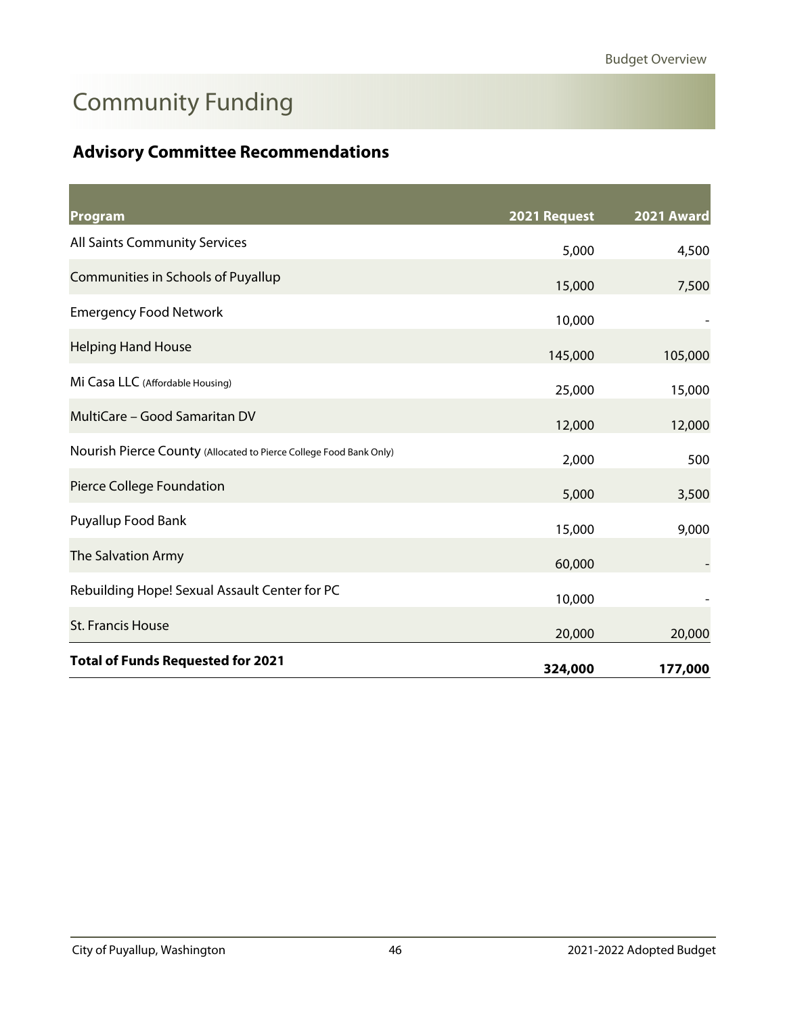# <span id="page-32-0"></span>Community Funding

### **Advisory Committee Recommendations**

| Program                                                            | 2021 Request | 2021 Award |
|--------------------------------------------------------------------|--------------|------------|
| All Saints Community Services                                      | 5,000        | 4,500      |
| Communities in Schools of Puyallup                                 | 15,000       | 7,500      |
| <b>Emergency Food Network</b>                                      | 10,000       |            |
| <b>Helping Hand House</b>                                          | 145,000      | 105,000    |
| Mi Casa LLC (Affordable Housing)                                   | 25,000       | 15,000     |
| MultiCare - Good Samaritan DV                                      | 12,000       | 12,000     |
| Nourish Pierce County (Allocated to Pierce College Food Bank Only) | 2,000        | 500        |
| Pierce College Foundation                                          | 5,000        | 3,500      |
| Puyallup Food Bank                                                 | 15,000       | 9,000      |
| The Salvation Army                                                 | 60,000       |            |
| Rebuilding Hope! Sexual Assault Center for PC                      | 10,000       |            |
| St. Francis House                                                  | 20,000       | 20,000     |
| <b>Total of Funds Requested for 2021</b>                           | 324,000      | 177,000    |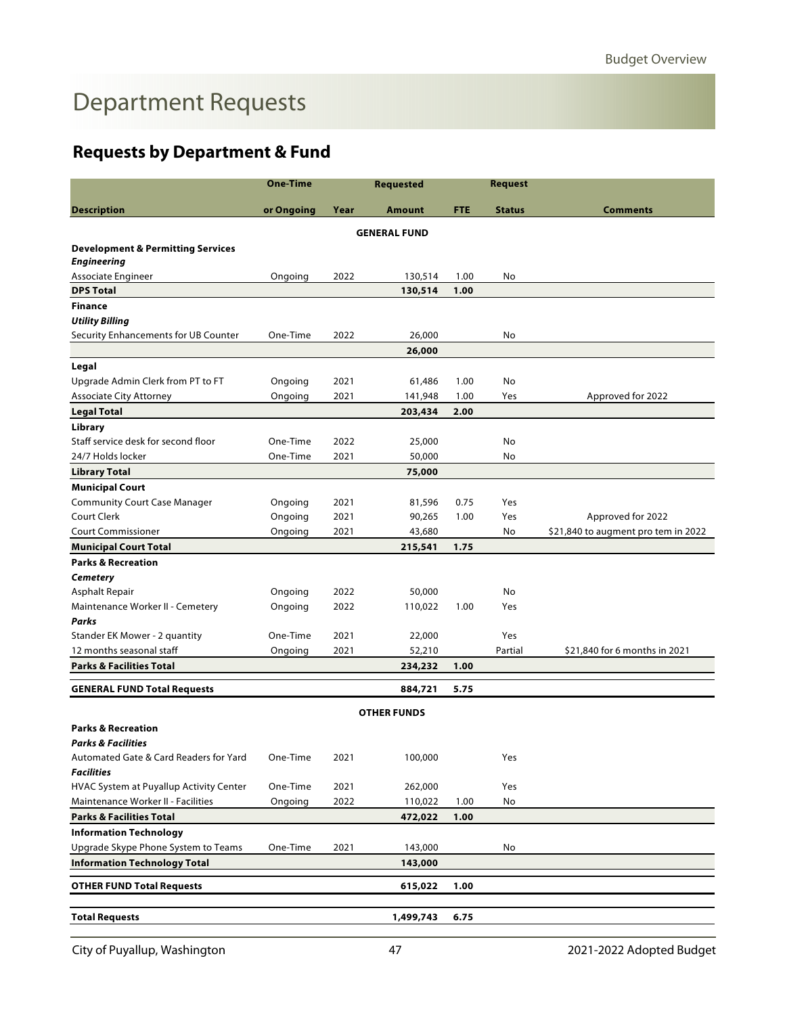# <span id="page-33-0"></span>Department Requests

### **Requests by Department & Fund**

|                                              | <b>One-Time</b> |      | <b>Requested</b>    |            | <b>Request</b> |                                     |
|----------------------------------------------|-----------------|------|---------------------|------------|----------------|-------------------------------------|
| <b>Description</b>                           | or Ongoing      | Year | Amount              | <b>FTE</b> | <b>Status</b>  | <b>Comments</b>                     |
|                                              |                 |      | <b>GENERAL FUND</b> |            |                |                                     |
| <b>Development &amp; Permitting Services</b> |                 |      |                     |            |                |                                     |
| <b>Engineering</b>                           |                 |      |                     |            |                |                                     |
| Associate Engineer                           | Ongoing         | 2022 | 130,514             | 1.00       | No             |                                     |
| <b>DPS Total</b>                             |                 |      | 130,514             | 1.00       |                |                                     |
| <b>Finance</b>                               |                 |      |                     |            |                |                                     |
| <b>Utility Billing</b>                       |                 |      |                     |            |                |                                     |
| Security Enhancements for UB Counter         | One-Time        | 2022 | 26,000              |            | No             |                                     |
|                                              |                 |      | 26,000              |            |                |                                     |
| Legal                                        |                 |      |                     |            |                |                                     |
| Upgrade Admin Clerk from PT to FT            | Ongoing         | 2021 | 61,486              | 1.00       | No             |                                     |
| <b>Associate City Attorney</b>               | Ongoing         | 2021 | 141,948             | 1.00       | Yes            | Approved for 2022                   |
| <b>Legal Total</b>                           |                 |      | 203,434             | 2.00       |                |                                     |
| Library                                      |                 |      |                     |            |                |                                     |
| Staff service desk for second floor          | One-Time        | 2022 | 25,000              |            | No             |                                     |
| 24/7 Holds locker                            | One-Time        | 2021 | 50,000              |            | No             |                                     |
| <b>Library Total</b>                         |                 |      | 75,000              |            |                |                                     |
| <b>Municipal Court</b>                       |                 |      |                     |            |                |                                     |
| <b>Community Court Case Manager</b>          | Ongoing         | 2021 | 81,596              | 0.75       | Yes            |                                     |
| Court Clerk                                  | Ongoing         | 2021 | 90,265              | 1.00       | Yes            | Approved for 2022                   |
| <b>Court Commissioner</b>                    | Ongoing         | 2021 | 43,680              |            | No             | \$21,840 to augment pro tem in 2022 |
| <b>Municipal Court Total</b>                 |                 |      | 215,541             | 1.75       |                |                                     |
| <b>Parks &amp; Recreation</b>                |                 |      |                     |            |                |                                     |
| <b>Cemetery</b>                              |                 |      |                     |            |                |                                     |
| Asphalt Repair                               | Ongoing         | 2022 | 50,000              |            | No             |                                     |
| Maintenance Worker II - Cemetery             | Ongoing         | 2022 | 110,022             | 1.00       | Yes            |                                     |
| Parks                                        |                 |      |                     |            |                |                                     |
| Stander EK Mower - 2 quantity                | One-Time        | 2021 | 22,000              |            | Yes            |                                     |
| 12 months seasonal staff                     | Ongoing         | 2021 | 52,210              |            | Partial        | \$21,840 for 6 months in 2021       |
| <b>Parks &amp; Facilities Total</b>          |                 |      | 234,232             | 1.00       |                |                                     |
| <b>GENERAL FUND Total Requests</b>           |                 |      | 884,721             | 5.75       |                |                                     |
|                                              |                 |      | <b>OTHER FUNDS</b>  |            |                |                                     |
| <b>Parks &amp; Recreation</b>                |                 |      |                     |            |                |                                     |
| <b>Parks &amp; Facilities</b>                |                 |      |                     |            |                |                                     |
| Automated Gate & Card Readers for Yard       | One-Time        | 2021 | 100,000             |            | Yes            |                                     |
| <b>Facilities</b>                            |                 |      |                     |            |                |                                     |
| HVAC System at Puyallup Activity Center      | One-Time        | 2021 | 262,000             |            | Yes            |                                     |
| Maintenance Worker II - Facilities           | Ongoing         | 2022 | 110,022             | 1.00       | No             |                                     |
| <b>Parks &amp; Facilities Total</b>          |                 |      | 472,022             | 1.00       |                |                                     |
| <b>Information Technology</b>                |                 |      |                     |            |                |                                     |
| Upgrade Skype Phone System to Teams          | One-Time        | 2021 | 143,000             |            | No             |                                     |
| <b>Information Technology Total</b>          |                 |      | 143,000             |            |                |                                     |
|                                              |                 |      |                     |            |                |                                     |
| <b>OTHER FUND Total Requests</b>             |                 |      | 615,022             | 1.00       |                |                                     |
|                                              |                 |      |                     |            |                |                                     |
| <b>Total Requests</b>                        |                 |      | 1,499,743           | 6.75       |                |                                     |